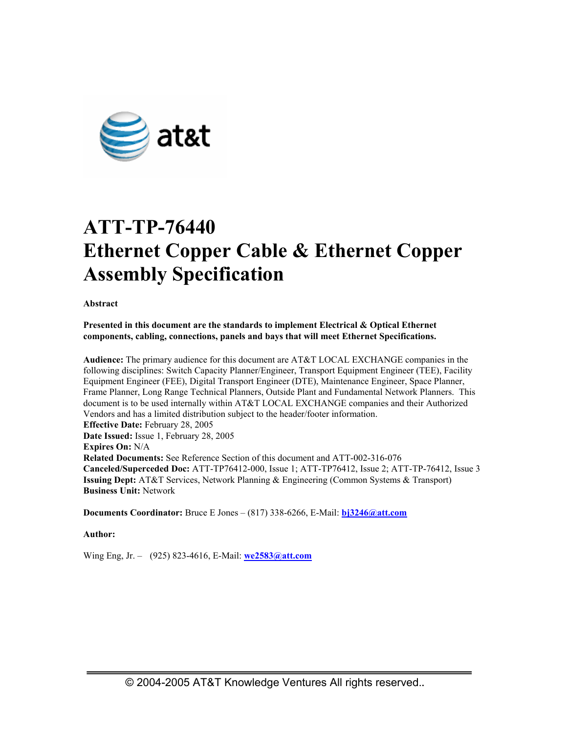

# **ATT-TP-76440 Ethernet Copper Cable & Ethernet Copper Assembly Specification**

**Abstract** 

**Presented in this document are the standards to implement Electrical & Optical Ethernet components, cabling, connections, panels and bays that will meet Ethernet Specifications.** 

**Audience:** The primary audience for this document are AT&T LOCAL EXCHANGE companies in the following disciplines: Switch Capacity Planner/Engineer, Transport Equipment Engineer (TEE), Facility Equipment Engineer (FEE), Digital Transport Engineer (DTE), Maintenance Engineer, Space Planner, Frame Planner, Long Range Technical Planners, Outside Plant and Fundamental Network Planners. This document is to be used internally within AT&T LOCAL EXCHANGE companies and their Authorized Vendors and has a limited distribution subject to the header/footer information. **Effective Date:** February 28, 2005 **Date Issued:** Issue 1, February 28, 2005 **Expires On:** N/A **Related Documents:** See Reference Section of this document and ATT-002-316-076 **Canceled/Superceded Doc:** ATT-TP76412-000, Issue 1; ATT-TP76412, Issue 2; ATT-TP-76412, Issue 3 **Issuing Dept:** AT&T Services, Network Planning & Engineering (Common Systems & Transport) **Business Unit:** Network

**Documents Coordinator:** Bruce E Jones – (817) 338-6266, E-Mail: **bj3246@att.com**

**Author:** 

Wing Eng, Jr. – (925) 823-4616, E-Mail: **we2583@att.com**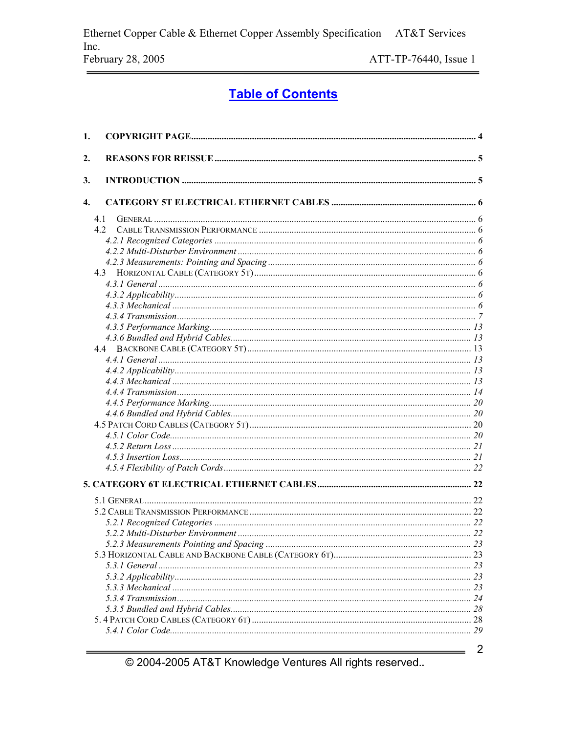# **Table of Contents**

| 1. |     |  |
|----|-----|--|
| 2. |     |  |
| 3. |     |  |
| 4. |     |  |
|    | 4.1 |  |
|    | 42  |  |
|    |     |  |
|    |     |  |
|    |     |  |
|    |     |  |
|    |     |  |
|    |     |  |
|    |     |  |
|    |     |  |
|    |     |  |
|    |     |  |
|    |     |  |
|    |     |  |
|    |     |  |
|    |     |  |
|    |     |  |
|    |     |  |
|    |     |  |
|    |     |  |
|    |     |  |
|    |     |  |
|    |     |  |
|    |     |  |
|    |     |  |
|    |     |  |
|    |     |  |
|    |     |  |
|    |     |  |
|    |     |  |
|    |     |  |
|    |     |  |
|    |     |  |
|    |     |  |
|    |     |  |
|    |     |  |
|    |     |  |
|    |     |  |

© 2004-2005 AT&T Knowledge Ventures All rights reserved..

 $\overline{2}$ 

 $\qquad \qquad$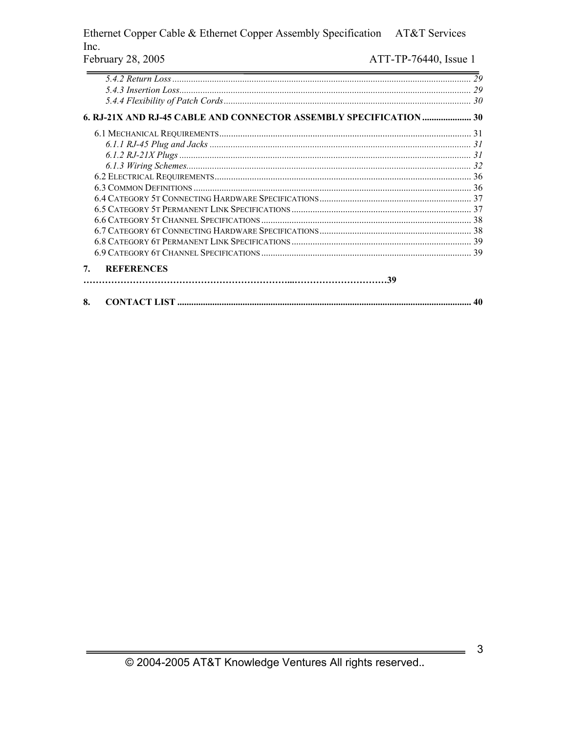#### Ethernet Copper Cable & Ethernet Copper Assembly Specification AT&T Services Inc. ATT-TP-76440, Issue 1 February 28, 2005

|                                                                    | 29 |
|--------------------------------------------------------------------|----|
|                                                                    | 29 |
|                                                                    |    |
| 6. RJ-21X AND RJ-45 CABLE AND CONNECTOR ASSEMBLY SPECIFICATION  30 |    |
|                                                                    |    |
|                                                                    |    |
|                                                                    |    |
|                                                                    |    |
|                                                                    |    |
|                                                                    |    |
|                                                                    |    |
|                                                                    |    |
|                                                                    |    |
|                                                                    |    |
|                                                                    |    |
|                                                                    |    |
| <b>REFERENCES</b><br>7.                                            |    |
|                                                                    |    |
| 8.                                                                 | 40 |

 $\mathbf{3}$ 

 $\qquad \qquad$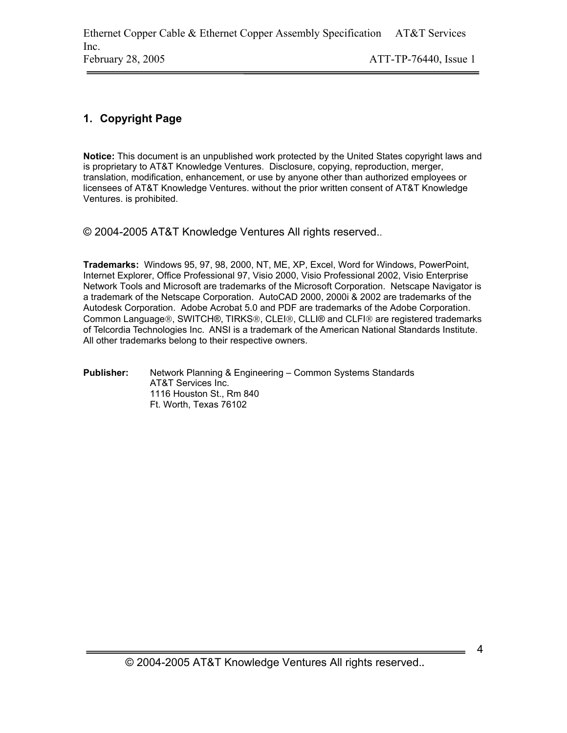# **1. Copyright Page**

**Notice:** This document is an unpublished work protected by the United States copyright laws and is proprietary to AT&T Knowledge Ventures. Disclosure, copying, reproduction, merger, translation, modification, enhancement, or use by anyone other than authorized employees or licensees of AT&T Knowledge Ventures. without the prior written consent of AT&T Knowledge Ventures. is prohibited.

© 2004-2005 AT&T Knowledge Ventures All rights reserved..

**Trademarks:** Windows 95, 97, 98, 2000, NT, ME, XP, Excel, Word for Windows, PowerPoint, Internet Explorer, Office Professional 97, Visio 2000, Visio Professional 2002, Visio Enterprise Network Tools and Microsoft are trademarks of the Microsoft Corporation. Netscape Navigator is a trademark of the Netscape Corporation. AutoCAD 2000, 2000i & 2002 are trademarks of the Autodesk Corporation. Adobe Acrobat 5.0 and PDF are trademarks of the Adobe Corporation. Common Language®, SWITCH®, TIRKS®, CLEI®, CLLI® and CLFI® are registered trademarks of Telcordia Technologies Inc. ANSI is a trademark of the American National Standards Institute. All other trademarks belong to their respective owners.

**Publisher:** Network Planning & Engineering – Common Systems Standards AT&T Services Inc. 1116 Houston St., Rm 840 Ft. Worth, Texas 76102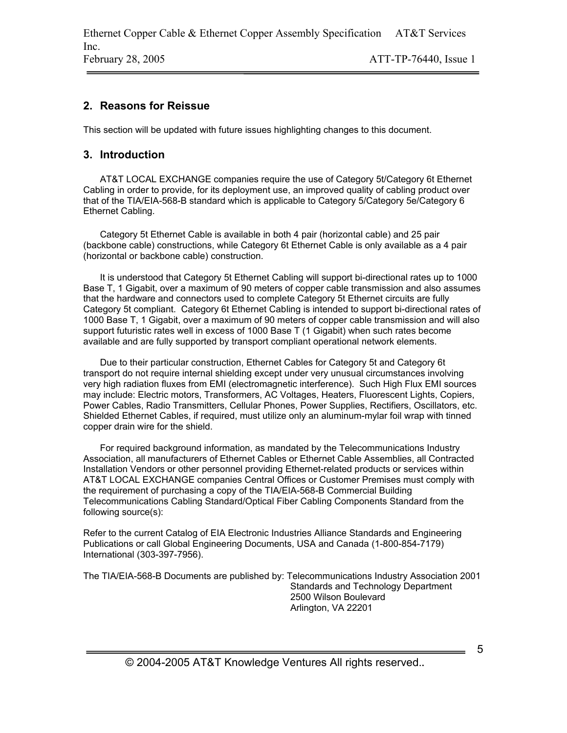# **2. Reasons for Reissue**

This section will be updated with future issues highlighting changes to this document.

# **3. Introduction**

AT&T LOCAL EXCHANGE companies require the use of Category 5t/Category 6t Ethernet Cabling in order to provide, for its deployment use, an improved quality of cabling product over that of the TIA/EIA-568-B standard which is applicable to Category 5/Category 5e/Category 6 Ethernet Cabling.

Category 5t Ethernet Cable is available in both 4 pair (horizontal cable) and 25 pair (backbone cable) constructions, while Category 6t Ethernet Cable is only available as a 4 pair (horizontal or backbone cable) construction.

It is understood that Category 5t Ethernet Cabling will support bi-directional rates up to 1000 Base T, 1 Gigabit, over a maximum of 90 meters of copper cable transmission and also assumes that the hardware and connectors used to complete Category 5t Ethernet circuits are fully Category 5t compliant. Category 6t Ethernet Cabling is intended to support bi-directional rates of 1000 Base T, 1 Gigabit, over a maximum of 90 meters of copper cable transmission and will also support futuristic rates well in excess of 1000 Base T (1 Gigabit) when such rates become available and are fully supported by transport compliant operational network elements.

Due to their particular construction, Ethernet Cables for Category 5t and Category 6t transport do not require internal shielding except under very unusual circumstances involving very high radiation fluxes from EMI (electromagnetic interference). Such High Flux EMI sources may include: Electric motors, Transformers, AC Voltages, Heaters, Fluorescent Lights, Copiers, Power Cables, Radio Transmitters, Cellular Phones, Power Supplies, Rectifiers, Oscillators, etc. Shielded Ethernet Cables, if required, must utilize only an aluminum-mylar foil wrap with tinned copper drain wire for the shield.

For required background information, as mandated by the Telecommunications Industry Association, all manufacturers of Ethernet Cables or Ethernet Cable Assemblies, all Contracted Installation Vendors or other personnel providing Ethernet-related products or services within AT&T LOCAL EXCHANGE companies Central Offices or Customer Premises must comply with the requirement of purchasing a copy of the TIA/EIA-568-B Commercial Building Telecommunications Cabling Standard/Optical Fiber Cabling Components Standard from the following source(s):

Refer to the current Catalog of EIA Electronic Industries Alliance Standards and Engineering Publications or call Global Engineering Documents, USA and Canada (1-800-854-7179) International (303-397-7956).

The TIA/EIA-568-B Documents are published by: Telecommunications Industry Association 2001 Standards and Technology Department 2500 Wilson Boulevard Arlington, VA 22201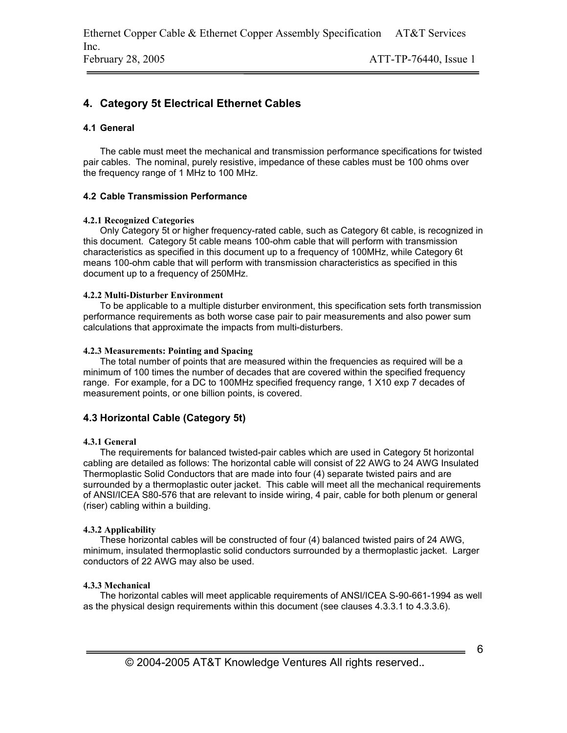# **4. Category 5t Electrical Ethernet Cables**

#### **4.1 General**

The cable must meet the mechanical and transmission performance specifications for twisted pair cables. The nominal, purely resistive, impedance of these cables must be 100 ohms over the frequency range of 1 MHz to 100 MHz.

#### **4.2 Cable Transmission Performance**

#### **4.2.1 Recognized Categories**

Only Category 5t or higher frequency-rated cable, such as Category 6t cable, is recognized in this document. Category 5t cable means 100-ohm cable that will perform with transmission characteristics as specified in this document up to a frequency of 100MHz, while Category 6t means 100-ohm cable that will perform with transmission characteristics as specified in this document up to a frequency of 250MHz.

#### **4.2.2 Multi-Disturber Environment**

To be applicable to a multiple disturber environment, this specification sets forth transmission performance requirements as both worse case pair to pair measurements and also power sum calculations that approximate the impacts from multi-disturbers.

#### **4.2.3 Measurements: Pointing and Spacing**

The total number of points that are measured within the frequencies as required will be a minimum of 100 times the number of decades that are covered within the specified frequency range. For example, for a DC to 100MHz specified frequency range, 1 X10 exp 7 decades of measurement points, or one billion points, is covered.

### **4.3 Horizontal Cable (Category 5t)**

#### **4.3.1 General**

The requirements for balanced twisted-pair cables which are used in Category 5t horizontal cabling are detailed as follows: The horizontal cable will consist of 22 AWG to 24 AWG Insulated Thermoplastic Solid Conductors that are made into four (4) separate twisted pairs and are surrounded by a thermoplastic outer jacket. This cable will meet all the mechanical requirements of ANSI/ICEA S80-576 that are relevant to inside wiring, 4 pair, cable for both plenum or general (riser) cabling within a building.

#### **4.3.2 Applicability**

These horizontal cables will be constructed of four (4) balanced twisted pairs of 24 AWG, minimum, insulated thermoplastic solid conductors surrounded by a thermoplastic jacket. Larger conductors of 22 AWG may also be used.

#### **4.3.3 Mechanical**

The horizontal cables will meet applicable requirements of ANSI/ICEA S-90-661-1994 as well as the physical design requirements within this document (see clauses 4.3.3.1 to 4.3.3.6).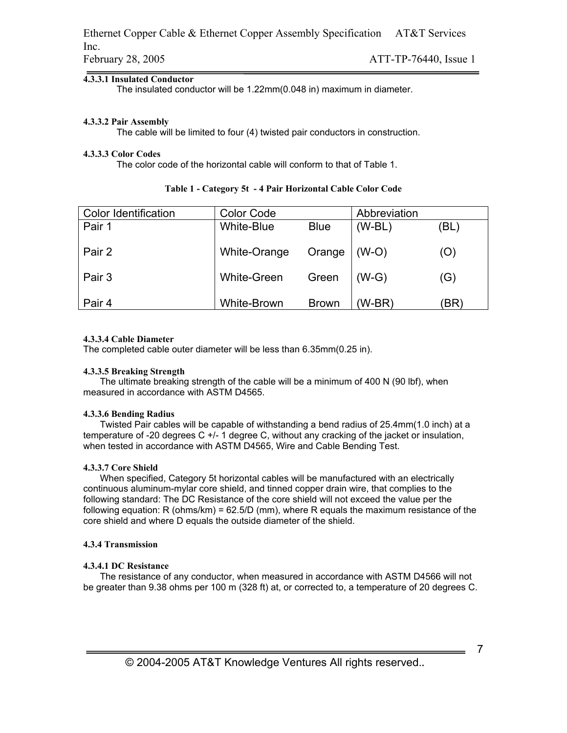#### **4.3.3.1 Insulated Conductor**

The insulated conductor will be 1.22mm(0.048 in) maximum in diameter.

#### **4.3.3.2 Pair Assembly**

The cable will be limited to four (4) twisted pair conductors in construction.

#### **4.3.3.3 Color Codes**

The color code of the horizontal cable will conform to that of Table 1.

| <b>Color Identification</b> | <b>Color Code</b>  |              | Abbreviation |      |
|-----------------------------|--------------------|--------------|--------------|------|
| Pair 1                      | White-Blue         | <b>Blue</b>  | $(W-BL)$     | (BL) |
| Pair 2                      | White-Orange       | Orange       | $(W-O)$      | (O)  |
| Pair 3                      | <b>White-Green</b> | Green        | $(W-G)$      | (G)  |
| Pair 4                      | White-Brown        | <b>Brown</b> | (W-BR)       | BR)  |

### **Table 1 - Category 5t - 4 Pair Horizontal Cable Color Code**

#### **4.3.3.4 Cable Diameter**

The completed cable outer diameter will be less than 6.35mm(0.25 in).

#### **4.3.3.5 Breaking Strength**

The ultimate breaking strength of the cable will be a minimum of 400 N (90 lbf), when measured in accordance with ASTM D4565.

#### **4.3.3.6 Bending Radius**

Twisted Pair cables will be capable of withstanding a bend radius of 25.4mm(1.0 inch) at a temperature of -20 degrees C +/- 1 degree C, without any cracking of the jacket or insulation, when tested in accordance with ASTM D4565, Wire and Cable Bending Test.

#### **4.3.3.7 Core Shield**

When specified, Category 5t horizontal cables will be manufactured with an electrically continuous aluminum-mylar core shield, and tinned copper drain wire, that complies to the following standard: The DC Resistance of the core shield will not exceed the value per the following equation: R (ohms/km) = 62.5/D (mm), where R equals the maximum resistance of the core shield and where D equals the outside diameter of the shield.

#### **4.3.4 Transmission**

#### **4.3.4.1 DC Resistance**

The resistance of any conductor, when measured in accordance with ASTM D4566 will not be greater than 9.38 ohms per 100 m (328 ft) at, or corrected to, a temperature of 20 degrees C.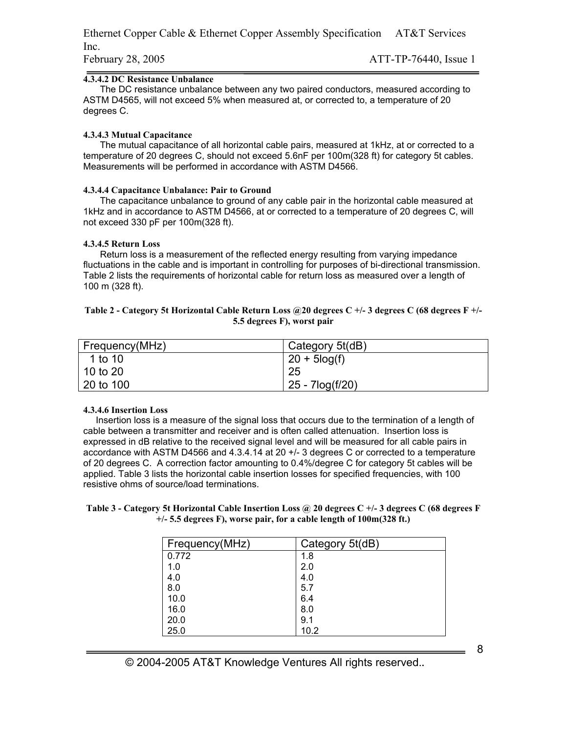#### **4.3.4.2 DC Resistance Unbalance**

The DC resistance unbalance between any two paired conductors, measured according to ASTM D4565, will not exceed 5% when measured at, or corrected to, a temperature of 20 degrees C.

#### **4.3.4.3 Mutual Capacitance**

The mutual capacitance of all horizontal cable pairs, measured at 1kHz, at or corrected to a temperature of 20 degrees C, should not exceed 5.6nF per 100m(328 ft) for category 5t cables. Measurements will be performed in accordance with ASTM D4566.

#### **4.3.4.4 Capacitance Unbalance: Pair to Ground**

The capacitance unbalance to ground of any cable pair in the horizontal cable measured at 1kHz and in accordance to ASTM D4566, at or corrected to a temperature of 20 degrees C, will not exceed 330 pF per 100m(328 ft).

#### **4.3.4.5 Return Loss**

Return loss is a measurement of the reflected energy resulting from varying impedance fluctuations in the cable and is important in controlling for purposes of bi-directional transmission. Table 2 lists the requirements of horizontal cable for return loss as measured over a length of 100 m (328 ft).

#### **Table 2 - Category 5t Horizontal Cable Return Loss @20 degrees C +/- 3 degrees C (68 degrees F +/- 5.5 degrees F), worst pair**

| Frequency(MHz) | Category 5t(dB)  |
|----------------|------------------|
| 1 to 10        | $20 + 5 \log(f)$ |
| 10 to 20       | 25               |
| l 20 to 100    | 25 - 7log(f/20)  |

#### **4.3.4.6 Insertion Loss**

Insertion loss is a measure of the signal loss that occurs due to the termination of a length of cable between a transmitter and receiver and is often called attenuation. Insertion loss is expressed in dB relative to the received signal level and will be measured for all cable pairs in accordance with ASTM D4566 and 4.3.4.14 at 20 +/- 3 degrees C or corrected to a temperature of 20 degrees C. A correction factor amounting to 0.4%/degree C for category 5t cables will be applied. Table 3 lists the horizontal cable insertion losses for specified frequencies, with 100 resistive ohms of source/load terminations.

#### **Table 3 - Category 5t Horizontal Cable Insertion Loss @ 20 degrees C +/- 3 degrees C (68 degrees F +/- 5.5 degrees F), worse pair, for a cable length of 100m(328 ft.)**

| Frequency(MHz) | Category 5t(dB) |
|----------------|-----------------|
| 0.772          | 1.8             |
| 1.0            | 2.0             |
| 4.0            | 4.0             |
| 8.0            | 5.7             |
| 10.0           | 6.4             |
| 16.0           | 8.0             |
| 20.0           | 9.1             |
| 25.0           | 10.2            |

© 2004-2005 AT&T Knowledge Ventures All rights reserved.**.**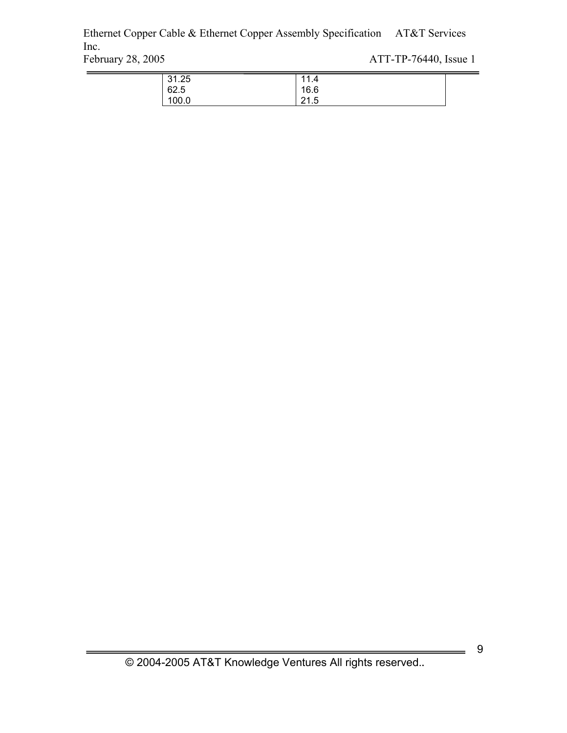Ethernet Copper Cable & Ethernet Copper Assembly Specification AT&T Services Inc.<br>February 28, 2005

ATT-TP-76440, Issue 1

| 31.25 | 44<br>$\boldsymbol{\Lambda}$<br>. |  |
|-------|-----------------------------------|--|
| 62.5  | 16.6                              |  |
| 100.0 | д<br>04<br>ن. ا ے                 |  |

9

 $\overline{\phantom{a}}$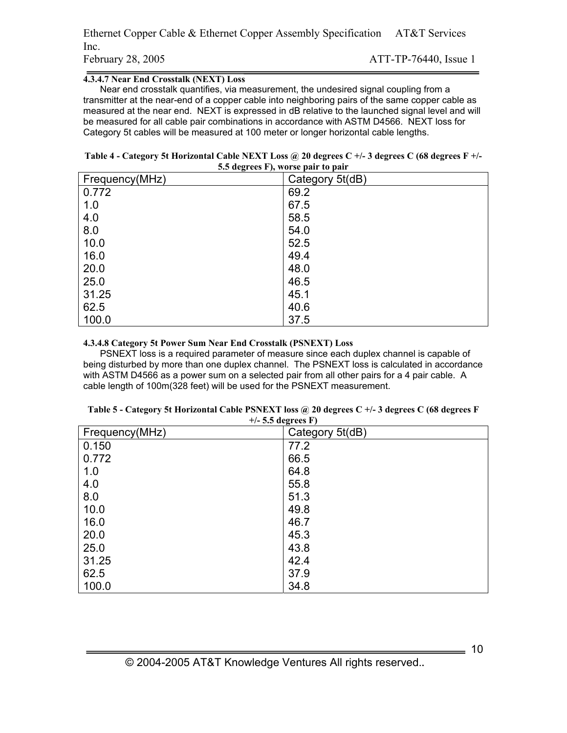| Ethernet Copper Cable & Ethernet Copper Assembly Specification AT&T Services |                       |  |
|------------------------------------------------------------------------------|-----------------------|--|
| Inc.                                                                         |                       |  |
| February 28, 2005                                                            | ATT-TP-76440, Issue 1 |  |

#### **4.3.4.7 Near End Crosstalk (NEXT) Loss**

Near end crosstalk quantifies, via measurement, the undesired signal coupling from a transmitter at the near-end of a copper cable into neighboring pairs of the same copper cable as measured at the near end. NEXT is expressed in dB relative to the launched signal level and will be measured for all cable pair combinations in accordance with ASTM D4566. NEXT loss for Category 5t cables will be measured at 100 meter or longer horizontal cable lengths.

| Table 4 - Category 5t Horizontal Cable NEXT Loss @ 20 degrees C +/- 3 degrees C (68 degrees F +/- |
|---------------------------------------------------------------------------------------------------|
| 5.5 degrees F), worse pair to pair                                                                |

| - 100<br>$\prime$<br>Frequency(MHz) | Category 5t(dB) |
|-------------------------------------|-----------------|
| 0.772                               | 69.2            |
| 1.0                                 | 67.5            |
| 4.0                                 | 58.5            |
| 8.0                                 | 54.0            |
| 10.0                                | 52.5            |
| 16.0                                | 49.4            |
| 20.0                                | 48.0            |
| 25.0                                | 46.5            |
| 31.25                               | 45.1            |
| 62.5                                | 40.6            |
| 100.0                               | 37.5            |

#### **4.3.4.8 Category 5t Power Sum Near End Crosstalk (PSNEXT) Loss**

PSNEXT loss is a required parameter of measure since each duplex channel is capable of being disturbed by more than one duplex channel. The PSNEXT loss is calculated in accordance with ASTM D4566 as a power sum on a selected pair from all other pairs for a 4 pair cable. A cable length of 100m(328 feet) will be used for the PSNEXT measurement.

| Frequency(MHz) | $\cdots$ $\cdots$<br>Category 5t(dB) |
|----------------|--------------------------------------|
| 0.150          | 77.2                                 |
| 0.772          | 66.5                                 |
| 1.0            | 64.8                                 |
| 4.0            | 55.8                                 |
| 8.0            | 51.3                                 |
| 10.0           | 49.8                                 |
| 16.0           | 46.7                                 |
| 20.0           | 45.3                                 |
| 25.0           | 43.8                                 |
| 31.25          | 42.4                                 |
| 62.5           | 37.9                                 |
| 100.0          | 34.8                                 |

#### **Table 5 - Category 5t Horizontal Cable PSNEXT loss @ 20 degrees C +/- 3 degrees C (68 degrees F +/- 5.5 degrees F)**

 $\frac{1}{\sqrt{1-\frac{1}{2}}}\left| \frac{1}{2}\right|$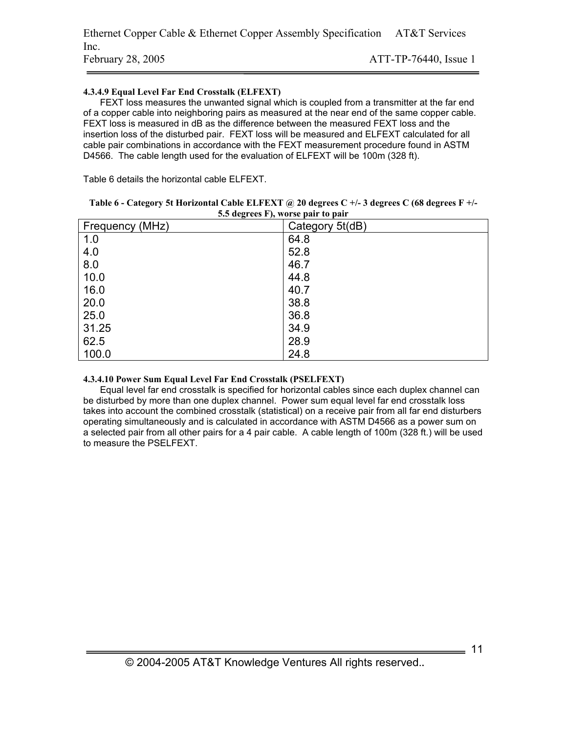#### **4.3.4.9 Equal Level Far End Crosstalk (ELFEXT)**

FEXT loss measures the unwanted signal which is coupled from a transmitter at the far end of a copper cable into neighboring pairs as measured at the near end of the same copper cable. FEXT loss is measured in dB as the difference between the measured FEXT loss and the insertion loss of the disturbed pair. FEXT loss will be measured and ELFEXT calculated for all cable pair combinations in accordance with the FEXT measurement procedure found in ASTM D4566. The cable length used for the evaluation of ELFEXT will be 100m (328 ft).

Table 6 details the horizontal cable ELFEXT.

| $3.3$ acgrees F), we see pair to pair |                 |
|---------------------------------------|-----------------|
| Frequency (MHz)                       | Category 5t(dB) |
| 1.0                                   | 64.8            |
| 4.0                                   | 52.8            |
| 8.0                                   | 46.7            |
| 10.0                                  | 44.8            |
| 16.0                                  | 40.7            |
| 20.0                                  | 38.8            |
| 25.0                                  | 36.8            |
| 31.25                                 | 34.9            |
| 62.5                                  | 28.9            |
| 100.0                                 | 24.8            |

| Table 6 - Category 5t Horizontal Cable ELFEXT @ 20 degrees C +/- 3 degrees C (68 degrees F +/- |
|------------------------------------------------------------------------------------------------|
| 5.5 degrees F), worse pair to pair                                                             |

#### **4.3.4.10 Power Sum Equal Level Far End Crosstalk (PSELFEXT)**

Equal level far end crosstalk is specified for horizontal cables since each duplex channel can be disturbed by more than one duplex channel. Power sum equal level far end crosstalk loss takes into account the combined crosstalk (statistical) on a receive pair from all far end disturbers operating simultaneously and is calculated in accordance with ASTM D4566 as a power sum on a selected pair from all other pairs for a 4 pair cable. A cable length of 100m (328 ft.) will be used to measure the PSELFEXT.

 $=$  11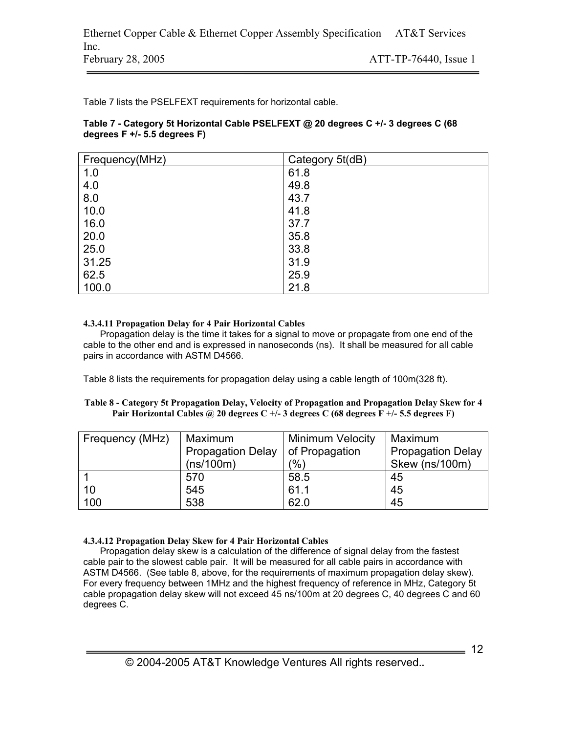Table 7 lists the PSELFEXT requirements for horizontal cable.

#### **Table 7 - Category 5t Horizontal Cable PSELFEXT @ 20 degrees C +/- 3 degrees C (68 degrees F +/- 5.5 degrees F)**

| Frequency(MHz) | Category 5t(dB) |
|----------------|-----------------|
| 1.0            | 61.8            |
| 4.0            | 49.8            |
| 8.0            | 43.7            |
| 10.0           | 41.8            |
| 16.0           | 37.7            |
| 20.0           | 35.8            |
| 25.0           | 33.8            |
| 31.25          | 31.9            |
| 62.5           | 25.9            |
| 100.0          | 21.8            |

#### **4.3.4.11 Propagation Delay for 4 Pair Horizontal Cables**

Propagation delay is the time it takes for a signal to move or propagate from one end of the cable to the other end and is expressed in nanoseconds (ns). It shall be measured for all cable pairs in accordance with ASTM D4566.

Table 8 lists the requirements for propagation delay using a cable length of 100m(328 ft).

#### **Table 8 - Category 5t Propagation Delay, Velocity of Propagation and Propagation Delay Skew for 4 Pair Horizontal Cables @ 20 degrees C +/- 3 degrees C (68 degrees F +/- 5.5 degrees F)**

| Frequency (MHz) | Maximum                            | <b>Minimum Velocity</b> | Maximum                  |
|-----------------|------------------------------------|-------------------------|--------------------------|
|                 | Propagation Delay   of Propagation |                         | <b>Propagation Delay</b> |
|                 | (ns/100m)                          | $\frac{1}{2}$           | Skew (ns/100m)           |
|                 | 570                                | 58.5                    | 45                       |
| 10              | 545                                | 61.1                    | 45                       |
| 100             | 538                                | 62.0                    | 45                       |

### **4.3.4.12 Propagation Delay Skew for 4 Pair Horizontal Cables**

Propagation delay skew is a calculation of the difference of signal delay from the fastest cable pair to the slowest cable pair. It will be measured for all cable pairs in accordance with ASTM D4566. (See table 8, above, for the requirements of maximum propagation delay skew). For every frequency between 1MHz and the highest frequency of reference in MHz, Category 5t cable propagation delay skew will not exceed 45 ns/100m at 20 degrees C, 40 degrees C and 60 degrees C.

 $\frac{1}{\sqrt{12}}$  12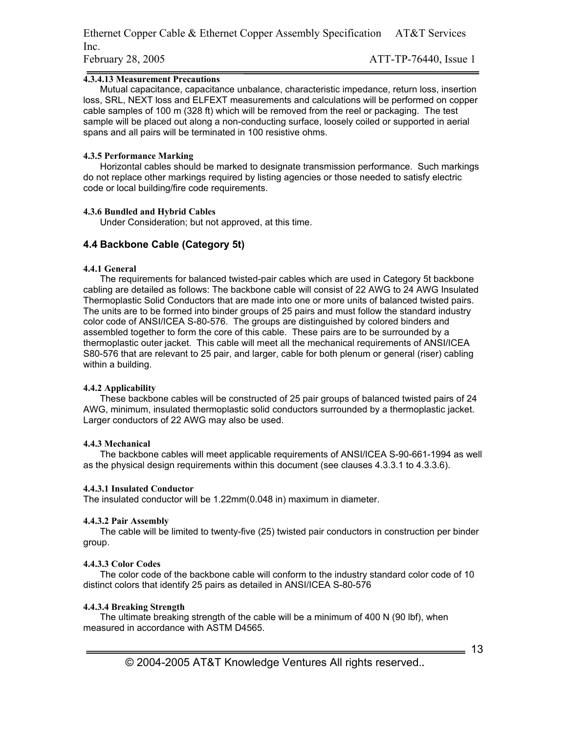Ethernet Copper Cable & Ethernet Copper Assembly Specification AT&T Services Inc. February 28, 2005 ATT-TP-76440, Issue 1

#### **4.3.4.13 Measurement Precautions**

Mutual capacitance, capacitance unbalance, characteristic impedance, return loss, insertion loss, SRL, NEXT loss and ELFEXT measurements and calculations will be performed on copper cable samples of 100 m (328 ft) which will be removed from the reel or packaging. The test sample will be placed out along a non-conducting surface, loosely coiled or supported in aerial spans and all pairs will be terminated in 100 resistive ohms.

#### **4.3.5 Performance Marking**

Horizontal cables should be marked to designate transmission performance. Such markings do not replace other markings required by listing agencies or those needed to satisfy electric code or local building/fire code requirements.

#### **4.3.6 Bundled and Hybrid Cables**

Under Consideration; but not approved, at this time.

#### **4.4 Backbone Cable (Category 5t)**

#### **4.4.1 General**

The requirements for balanced twisted-pair cables which are used in Category 5t backbone cabling are detailed as follows: The backbone cable will consist of 22 AWG to 24 AWG Insulated Thermoplastic Solid Conductors that are made into one or more units of balanced twisted pairs. The units are to be formed into binder groups of 25 pairs and must follow the standard industry color code of ANSI/ICEA S-80-576. The groups are distinguished by colored binders and assembled together to form the core of this cable. These pairs are to be surrounded by a thermoplastic outer jacket. This cable will meet all the mechanical requirements of ANSI/ICEA S80-576 that are relevant to 25 pair, and larger, cable for both plenum or general (riser) cabling within a building.

#### **4.4.2 Applicability**

These backbone cables will be constructed of 25 pair groups of balanced twisted pairs of 24 AWG, minimum, insulated thermoplastic solid conductors surrounded by a thermoplastic jacket. Larger conductors of 22 AWG may also be used.

#### **4.4.3 Mechanical**

The backbone cables will meet applicable requirements of ANSI/ICEA S-90-661-1994 as well as the physical design requirements within this document (see clauses 4.3.3.1 to 4.3.3.6).

#### **4.4.3.1 Insulated Conductor**

The insulated conductor will be 1.22mm(0.048 in) maximum in diameter.

#### **4.4.3.2 Pair Assembly**

The cable will be limited to twenty-five (25) twisted pair conductors in construction per binder group.

#### **4.4.3.3 Color Codes**

The color code of the backbone cable will conform to the industry standard color code of 10 distinct colors that identify 25 pairs as detailed in ANSI/ICEA S-80-576

#### **4.4.3.4 Breaking Strength**

The ultimate breaking strength of the cable will be a minimum of 400 N (90 lbf), when measured in accordance with ASTM D4565.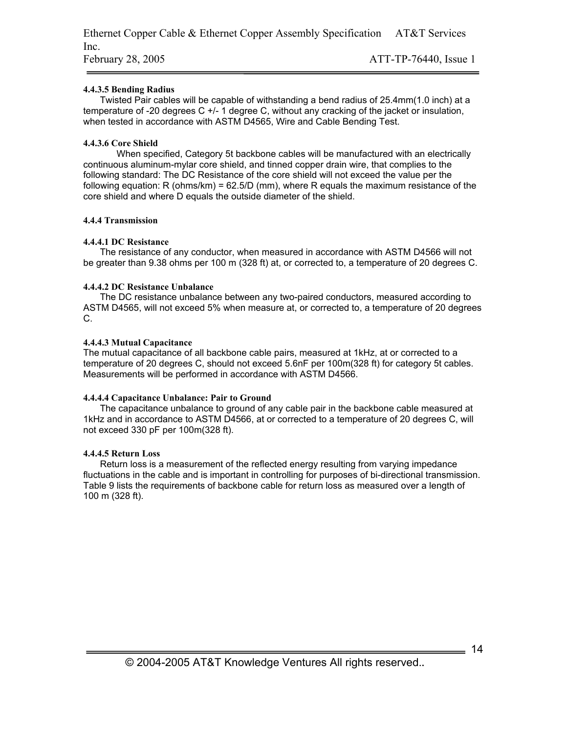#### **4.4.3.5 Bending Radius**

Twisted Pair cables will be capable of withstanding a bend radius of 25.4mm(1.0 inch) at a temperature of -20 degrees C +/- 1 degree C, without any cracking of the jacket or insulation, when tested in accordance with ASTM D4565, Wire and Cable Bending Test.

#### **4.4.3.6 Core Shield**

When specified, Category 5t backbone cables will be manufactured with an electrically continuous aluminum-mylar core shield, and tinned copper drain wire, that complies to the following standard: The DC Resistance of the core shield will not exceed the value per the following equation: R (ohms/km) = 62.5/D (mm), where R equals the maximum resistance of the core shield and where D equals the outside diameter of the shield.

#### **4.4.4 Transmission**

#### **4.4.4.1 DC Resistance**

The resistance of any conductor, when measured in accordance with ASTM D4566 will not be greater than 9.38 ohms per 100 m (328 ft) at, or corrected to, a temperature of 20 degrees C.

#### **4.4.4.2 DC Resistance Unbalance**

The DC resistance unbalance between any two-paired conductors, measured according to ASTM D4565, will not exceed 5% when measure at, or corrected to, a temperature of 20 degrees C.

#### **4.4.4.3 Mutual Capacitance**

The mutual capacitance of all backbone cable pairs, measured at 1kHz, at or corrected to a temperature of 20 degrees C, should not exceed 5.6nF per 100m(328 ft) for category 5t cables. Measurements will be performed in accordance with ASTM D4566.

#### **4.4.4.4 Capacitance Unbalance: Pair to Ground**

The capacitance unbalance to ground of any cable pair in the backbone cable measured at 1kHz and in accordance to ASTM D4566, at or corrected to a temperature of 20 degrees C, will not exceed 330 pF per 100m(328 ft).

#### **4.4.4.5 Return Loss**

Return loss is a measurement of the reflected energy resulting from varying impedance fluctuations in the cable and is important in controlling for purposes of bi-directional transmission. Table 9 lists the requirements of backbone cable for return loss as measured over a length of 100 m (328 ft).

 $= 14$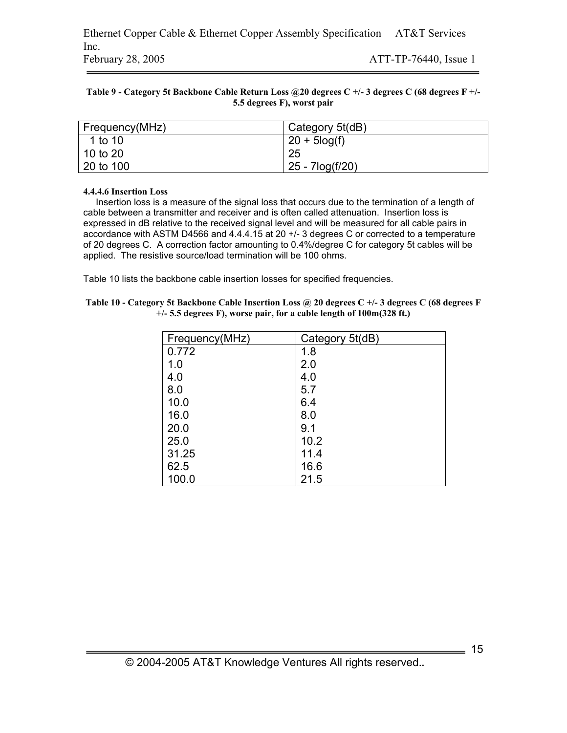#### **Table 9 - Category 5t Backbone Cable Return Loss @20 degrees C +/- 3 degrees C (68 degrees F +/- 5.5 degrees F), worst pair**

| Frequency(MHz) | Category 5t(dB) |
|----------------|-----------------|
| 1 to 10        | $20 + 5$ log(f) |
| 10 to 20       | 25              |
| 20 to 100      | 25 - 7log(f/20) |

#### **4.4.4.6 Insertion Loss**

Insertion loss is a measure of the signal loss that occurs due to the termination of a length of cable between a transmitter and receiver and is often called attenuation. Insertion loss is expressed in dB relative to the received signal level and will be measured for all cable pairs in accordance with ASTM D4566 and 4.4.4.15 at 20 +/- 3 degrees C or corrected to a temperature of 20 degrees C. A correction factor amounting to 0.4%/degree C for category 5t cables will be applied. The resistive source/load termination will be 100 ohms.

Table 10 lists the backbone cable insertion losses for specified frequencies.

| Table 10 - Category 5t Backbone Cable Insertion Loss @ 20 degrees C +/- 3 degrees C (68 degrees F |
|---------------------------------------------------------------------------------------------------|
| $+/-$ 5.5 degrees F), worse pair, for a cable length of $100m(328 ft.)$                           |

| Frequency(MHz) | Category 5t(dB) |
|----------------|-----------------|
| 0.772          | 1.8             |
| 1.0            | 2.0             |
| 4.0            | 4.0             |
| 8.0            | 5.7             |
| 10.0           | 6.4             |
| 16.0           | 8.0             |
| 20.0           | 9.1             |
| 25.0           | 10.2            |
| 31.25          | 11.4            |
| 62.5           | 16.6            |
| 100.0          | 21.5            |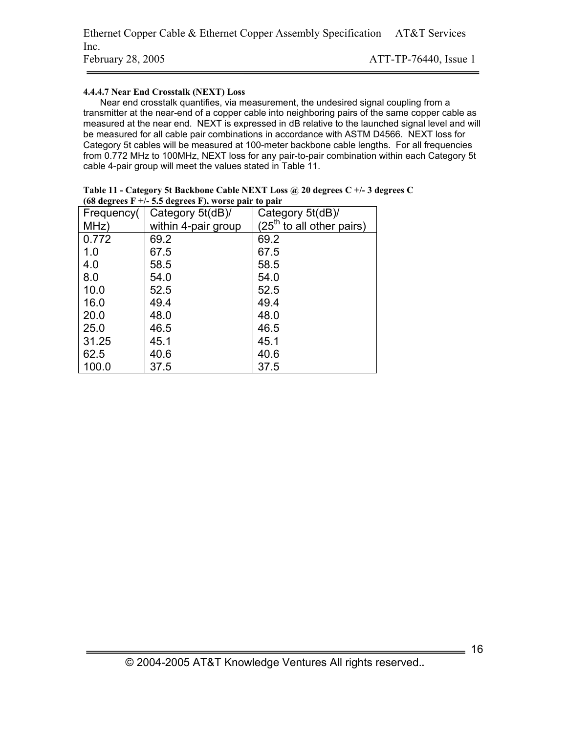#### **4.4.4.7 Near End Crosstalk (NEXT) Loss**

Near end crosstalk quantifies, via measurement, the undesired signal coupling from a transmitter at the near-end of a copper cable into neighboring pairs of the same copper cable as measured at the near end. NEXT is expressed in dB relative to the launched signal level and will be measured for all cable pair combinations in accordance with ASTM D4566. NEXT loss for Category 5t cables will be measured at 100-meter backbone cable lengths. For all frequencies from 0.772 MHz to 100MHz, NEXT loss for any pair-to-pair combination within each Category 5t cable 4-pair group will meet the values stated in Table 11.

| Frequency( | (so as $\sim$ 1. Sie as $\sim$ 1. Sie to $\sim$ 1. Sie see the set of $\sim$ $\sim$ $\sim$<br>Category 5t(dB)/ | Category 5t(dB)/            |
|------------|----------------------------------------------------------------------------------------------------------------|-----------------------------|
| MHz)       | within 4-pair group                                                                                            | $(25th$ to all other pairs) |
| 0.772      | 69.2                                                                                                           | 69.2                        |
| 1.0        | 67.5                                                                                                           | 67.5                        |
| 4.0        | 58.5                                                                                                           | 58.5                        |
| 8.0        | 54.0                                                                                                           | 54.0                        |
| 10.0       | 52.5                                                                                                           | 52.5                        |
| 16.0       | 49.4                                                                                                           | 49.4                        |
| 20.0       | 48.0                                                                                                           | 48.0                        |
| 25.0       | 46.5                                                                                                           | 46.5                        |
| 31.25      | 45.1                                                                                                           | 45.1                        |
| 62.5       | 40.6                                                                                                           | 40.6                        |
| 100.0      | 37.5                                                                                                           | 37.5                        |

| Table 11 - Category 5t Backbone Cable NEXT Loss @ 20 degrees C +/- 3 degrees C |
|--------------------------------------------------------------------------------|
| (68 degrees $F +/- 5.5$ degrees F), worse pair to pair                         |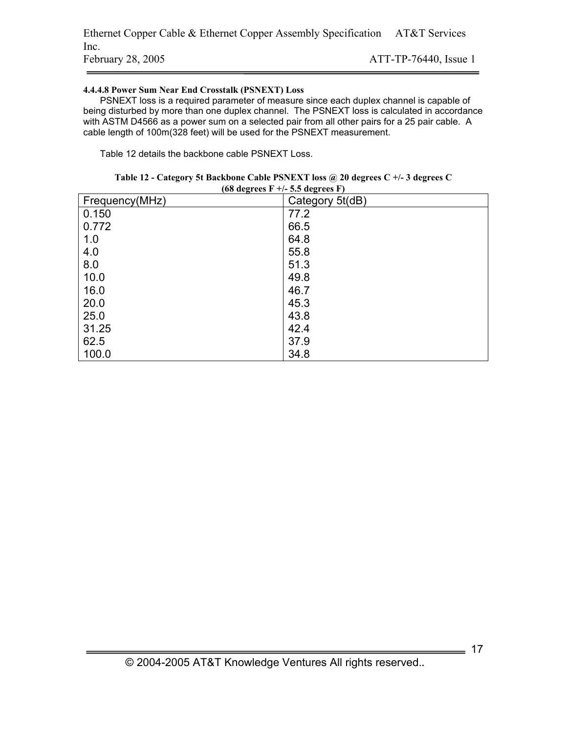Ethernet Copper Cable & Ethernet Copper Assembly Specification AT&T Services Inc. February 28, 2005 ATT-TP-76440, Issue 1

#### **4.4.4.8 Power Sum Near End Crosstalk (PSNEXT) Loss**

PSNEXT loss is a required parameter of measure since each duplex channel is capable of being disturbed by more than one duplex channel. The PSNEXT loss is calculated in accordance with ASTM D4566 as a power sum on a selected pair from all other pairs for a 25 pair cable. A cable length of 100m(328 feet) will be used for the PSNEXT measurement.

Table 12 details the backbone cable PSNEXT Loss.

| $(68 \text{ degrees} \ F +/- 5.5 \text{ degrees} \ F)$ |                 |  |
|--------------------------------------------------------|-----------------|--|
| Frequency(MHz)                                         | Category 5t(dB) |  |
| 0.150                                                  | 77.2            |  |
| 0.772                                                  | 66.5            |  |
| 1.0                                                    | 64.8            |  |
| 4.0                                                    | 55.8            |  |
| 8.0                                                    | 51.3            |  |
| 10.0                                                   | 49.8            |  |
| 16.0                                                   | 46.7            |  |
| 20.0                                                   | 45.3            |  |
| 25.0                                                   | 43.8            |  |
| 31.25                                                  | 42.4            |  |
| 62.5                                                   | 37.9            |  |
| 100.0                                                  | 34.8            |  |

| Table 12 - Category 5t Backbone Cable PSNEXT loss @ 20 degrees C +/- 3 degrees C |
|----------------------------------------------------------------------------------|
| $(KQ$ dogrape $F \perp / \leq \leq$ dogrape $F$ )                                |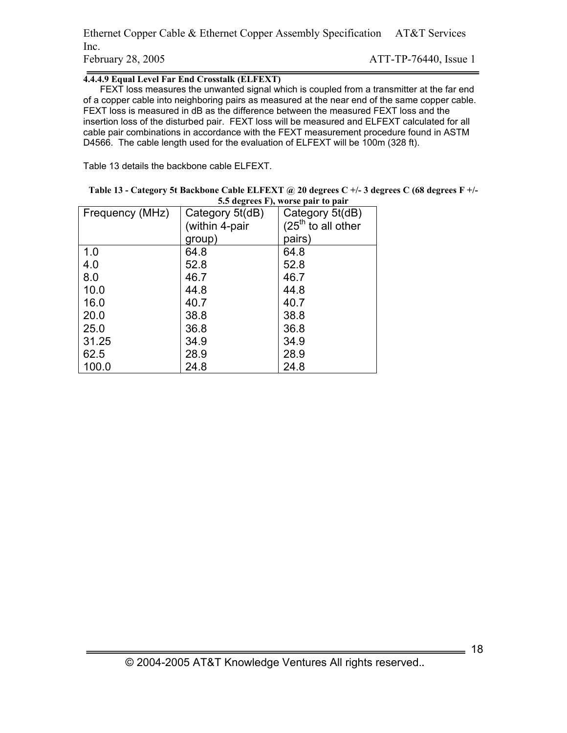Ethernet Copper Cable & Ethernet Copper Assembly Specification AT&T Services Inc. February 28, 2005 ATT-TP-76440, Issue 1

#### **4.4.4.9 Equal Level Far End Crosstalk (ELFEXT)**

FEXT loss measures the unwanted signal which is coupled from a transmitter at the far end of a copper cable into neighboring pairs as measured at the near end of the same copper cable. FEXT loss is measured in dB as the difference between the measured FEXT loss and the insertion loss of the disturbed pair. FEXT loss will be measured and ELFEXT calculated for all cable pair combinations in accordance with the FEXT measurement procedure found in ASTM D4566. The cable length used for the evaluation of ELFEXT will be 100m (328 ft).

Table 13 details the backbone cable ELFEXT.

| Table 13 - Category 5t Backbone Cable ELFEXT @ 20 degrees C +/- 3 degrees C (68 degrees F +/- |
|-----------------------------------------------------------------------------------------------|
| 5.5 degrees F), worse pair to pair                                                            |

| Frequency (MHz) | Category 5t(dB) | Category 5t(dB)      |
|-----------------|-----------------|----------------------|
|                 | (within 4-pair  | $(25th$ to all other |
|                 | group)          | pairs)               |
| 1.0             | 64.8            | 64.8                 |
| 4.0             | 52.8            | 52.8                 |
| 8.0             | 46.7            | 46.7                 |
| 10.0            | 44.8            | 44.8                 |
| 16.0            | 40.7            | 40.7                 |
| 20.0            | 38.8            | 38.8                 |
| 25.0            | 36.8            | 36.8                 |
| 31.25           | 34.9            | 34.9                 |
| 62.5            | 28.9            | 28.9                 |
| 100.0           | 24.8            | 24.8                 |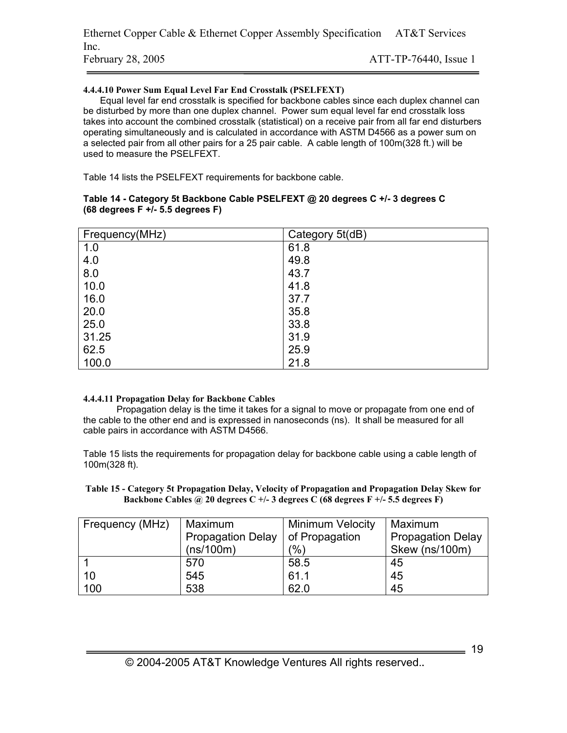#### **4.4.4.10 Power Sum Equal Level Far End Crosstalk (PSELFEXT)**

Equal level far end crosstalk is specified for backbone cables since each duplex channel can be disturbed by more than one duplex channel. Power sum equal level far end crosstalk loss takes into account the combined crosstalk (statistical) on a receive pair from all far end disturbers operating simultaneously and is calculated in accordance with ASTM D4566 as a power sum on a selected pair from all other pairs for a 25 pair cable. A cable length of 100m(328 ft.) will be used to measure the PSELFEXT.

Table 14 lists the PSELFEXT requirements for backbone cable.

| Frequency(MHz) | Category 5t(dB) |
|----------------|-----------------|
| 1.0            | 61.8            |
| 4.0            | 49.8            |
| 8.0            | 43.7            |
| 10.0           | 41.8            |
| 16.0           | 37.7            |
| 20.0           | 35.8            |
| 25.0           | 33.8            |
| 31.25          | 31.9            |
| 62.5           | 25.9            |
| 100.0          | 21.8            |

#### **Table 14 - Category 5t Backbone Cable PSELFEXT @ 20 degrees C +/- 3 degrees C (68 degrees F +/- 5.5 degrees F)**

### **4.4.4.11 Propagation Delay for Backbone Cables**

Propagation delay is the time it takes for a signal to move or propagate from one end of the cable to the other end and is expressed in nanoseconds (ns). It shall be measured for all cable pairs in accordance with ASTM D4566.

Table 15 lists the requirements for propagation delay for backbone cable using a cable length of 100m(328 ft).

**Table 15 - Category 5t Propagation Delay, Velocity of Propagation and Propagation Delay Skew for Backbone Cables @ 20 degrees C +/- 3 degrees C (68 degrees F +/- 5.5 degrees F)** 

| Frequency (MHz) | Maximum<br><b>Propagation Delay</b><br>(ns/100m) | <b>Minimum Velocity</b><br>of Propagation<br>$\frac{1}{2}$ | Maximum<br><b>Propagation Delay</b><br>Skew (ns/100m) |
|-----------------|--------------------------------------------------|------------------------------------------------------------|-------------------------------------------------------|
|                 |                                                  |                                                            |                                                       |
|                 | 570                                              | 58.5                                                       | 45                                                    |
| 10              | 545                                              | 61.1                                                       | 45                                                    |
| 100             | 538                                              | 62.0                                                       | 45                                                    |

 $=$  19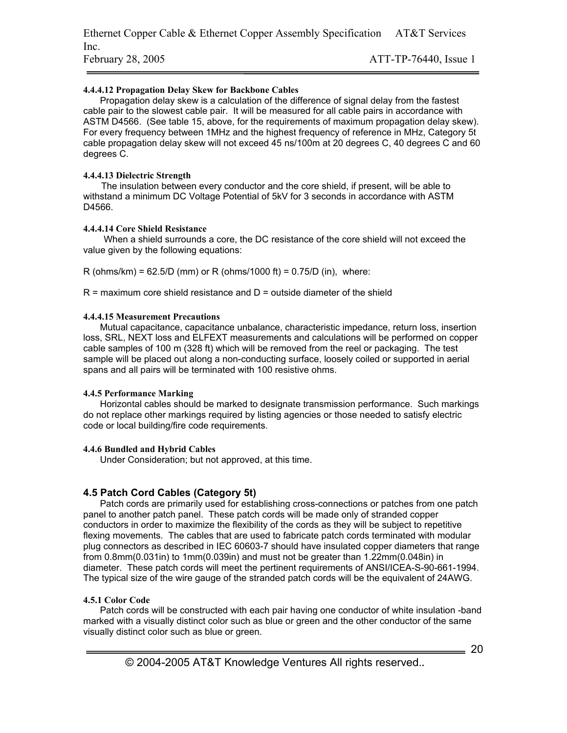#### **4.4.4.12 Propagation Delay Skew for Backbone Cables**

Propagation delay skew is a calculation of the difference of signal delay from the fastest cable pair to the slowest cable pair. It will be measured for all cable pairs in accordance with ASTM D4566. (See table 15, above, for the requirements of maximum propagation delay skew). For every frequency between 1MHz and the highest frequency of reference in MHz, Category 5t cable propagation delay skew will not exceed 45 ns/100m at 20 degrees C, 40 degrees C and 60 degrees C.

#### **4.4.4.13 Dielectric Strength**

 The insulation between every conductor and the core shield, if present, will be able to withstand a minimum DC Voltage Potential of 5kV for 3 seconds in accordance with ASTM D4566.

#### **4.4.4.14 Core Shield Resistance**

 When a shield surrounds a core, the DC resistance of the core shield will not exceed the value given by the following equations:

 $R$  (ohms/km) = 62.5/D (mm) or R (ohms/1000 ft) = 0.75/D (in), where:

 $R =$  maximum core shield resistance and  $D =$  outside diameter of the shield

#### **4.4.4.15 Measurement Precautions**

Mutual capacitance, capacitance unbalance, characteristic impedance, return loss, insertion loss, SRL, NEXT loss and ELFEXT measurements and calculations will be performed on copper cable samples of 100 m (328 ft) which will be removed from the reel or packaging. The test sample will be placed out along a non-conducting surface, loosely coiled or supported in aerial spans and all pairs will be terminated with 100 resistive ohms.

#### **4.4.5 Performance Marking**

Horizontal cables should be marked to designate transmission performance. Such markings do not replace other markings required by listing agencies or those needed to satisfy electric code or local building/fire code requirements.

### **4.4.6 Bundled and Hybrid Cables**

Under Consideration; but not approved, at this time.

### **4.5 Patch Cord Cables (Category 5t)**

Patch cords are primarily used for establishing cross-connections or patches from one patch panel to another patch panel. These patch cords will be made only of stranded copper conductors in order to maximize the flexibility of the cords as they will be subject to repetitive flexing movements. The cables that are used to fabricate patch cords terminated with modular plug connectors as described in IEC 60603-7 should have insulated copper diameters that range from 0.8mm(0.031in) to 1mm(0.039in) and must not be greater than 1.22mm(0.048in) in diameter. These patch cords will meet the pertinent requirements of ANSI/ICEA-S-90-661-1994. The typical size of the wire gauge of the stranded patch cords will be the equivalent of 24AWG.

### **4.5.1 Color Code**

Patch cords will be constructed with each pair having one conductor of white insulation -band marked with a visually distinct color such as blue or green and the other conductor of the same visually distinct color such as blue or green.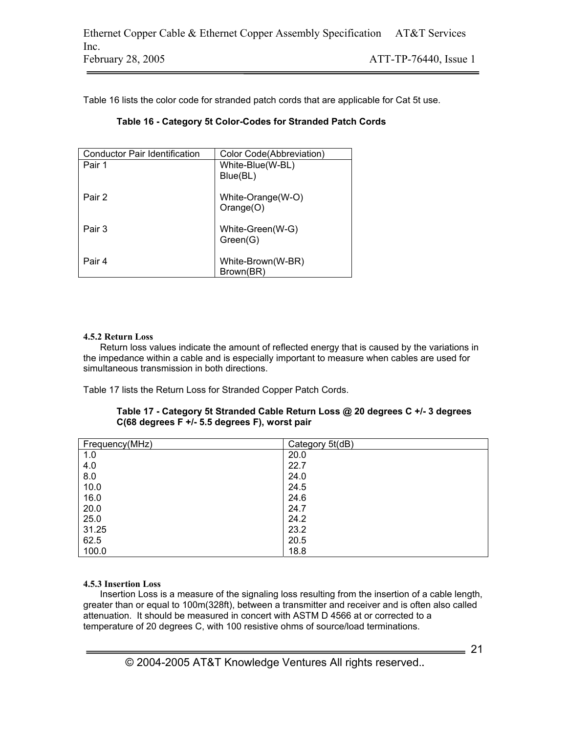Table 16 lists the color code for stranded patch cords that are applicable for Cat 5t use.

| <b>Conductor Pair Identification</b> | Color Code(Abbreviation) |
|--------------------------------------|--------------------------|
| Pair 1                               | White-Blue(W-BL)         |
|                                      | Blue(BL)                 |
|                                      |                          |
| Pair 2                               | White-Orange(W-O)        |
|                                      | Orange(O)                |
|                                      |                          |
| Pair 3                               | White-Green(W-G)         |
|                                      | Green(G)                 |
|                                      |                          |
| Pair 4                               | White-Brown(W-BR)        |
|                                      | Brown(BR)                |

# **Table 16 - Category 5t Color-Codes for Stranded Patch Cords**

### **4.5.2 Return Loss**

Return loss values indicate the amount of reflected energy that is caused by the variations in the impedance within a cable and is especially important to measure when cables are used for simultaneous transmission in both directions.

Table 17 lists the Return Loss for Stranded Copper Patch Cords.

| Table 17 - Category 5t Stranded Cable Return Loss @ 20 degrees C +/- 3 degrees |
|--------------------------------------------------------------------------------|
| C(68 degrees F +/- 5.5 degrees F), worst pair                                  |

| Frequency(MHz) | Category 5t(dB) |
|----------------|-----------------|
| 1.0            | 20.0            |
| 4.0            | 22.7            |
| 8.0            | 24.0            |
| 10.0           | 24.5            |
| 16.0           | 24.6            |
| 20.0           | 24.7            |
| 25.0           | 24.2            |
| 31.25          | 23.2            |
| 62.5           | 20.5            |
| 100.0          | 18.8            |

### **4.5.3 Insertion Loss**

Insertion Loss is a measure of the signaling loss resulting from the insertion of a cable length, greater than or equal to 100m(328ft), between a transmitter and receiver and is often also called attenuation. It should be measured in concert with ASTM D 4566 at or corrected to a temperature of 20 degrees C, with 100 resistive ohms of source/load terminations.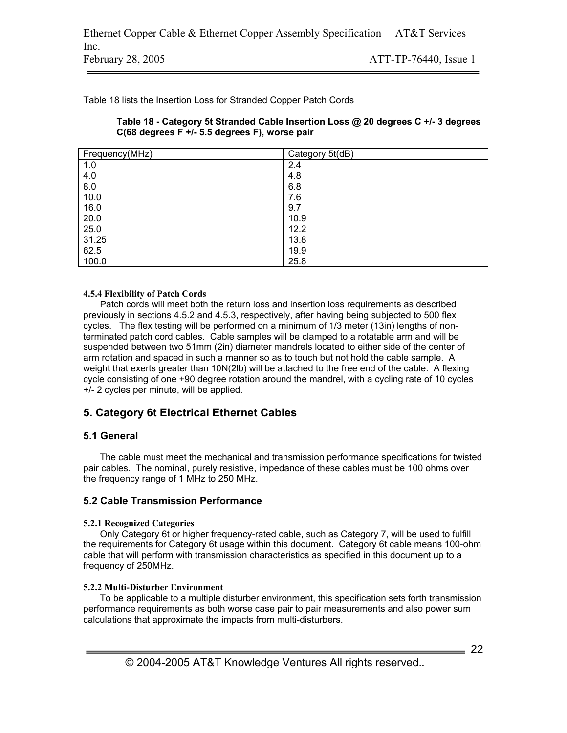Table 18 lists the Insertion Loss for Stranded Copper Patch Cords

| Table 18 - Category 5t Stranded Cable Insertion Loss @ 20 degrees C +/- 3 degrees |
|-----------------------------------------------------------------------------------|
| C(68 degrees F +/- 5.5 degrees F), worse pair                                     |

| Frequency(MHz) | Category 5t(dB) |
|----------------|-----------------|
| 1.0            | 2.4             |
| 4.0            | 4.8             |
| 8.0            | 6.8             |
| 10.0           | 7.6             |
| 16.0           | 9.7             |
| 20.0           | 10.9            |
| 25.0           | 12.2            |
| 31.25          | 13.8            |
| 62.5           | 19.9            |
| 100.0          | 25.8            |

#### **4.5.4 Flexibility of Patch Cords**

Patch cords will meet both the return loss and insertion loss requirements as described previously in sections 4.5.2 and 4.5.3, respectively, after having being subjected to 500 flex cycles. The flex testing will be performed on a minimum of 1/3 meter (13in) lengths of nonterminated patch cord cables. Cable samples will be clamped to a rotatable arm and will be suspended between two 51mm (2in) diameter mandrels located to either side of the center of arm rotation and spaced in such a manner so as to touch but not hold the cable sample. A weight that exerts greater than 10N(2lb) will be attached to the free end of the cable. A flexing cycle consisting of one +90 degree rotation around the mandrel, with a cycling rate of 10 cycles +/- 2 cycles per minute, will be applied.

# **5. Category 6t Electrical Ethernet Cables**

# **5.1 General**

The cable must meet the mechanical and transmission performance specifications for twisted pair cables. The nominal, purely resistive, impedance of these cables must be 100 ohms over the frequency range of 1 MHz to 250 MHz.

# **5.2 Cable Transmission Performance**

#### **5.2.1 Recognized Categories**

Only Category 6t or higher frequency-rated cable, such as Category 7, will be used to fulfill the requirements for Category 6t usage within this document. Category 6t cable means 100-ohm cable that will perform with transmission characteristics as specified in this document up to a frequency of 250MHz.

### **5.2.2 Multi-Disturber Environment**

To be applicable to a multiple disturber environment, this specification sets forth transmission performance requirements as both worse case pair to pair measurements and also power sum calculations that approximate the impacts from multi-disturbers.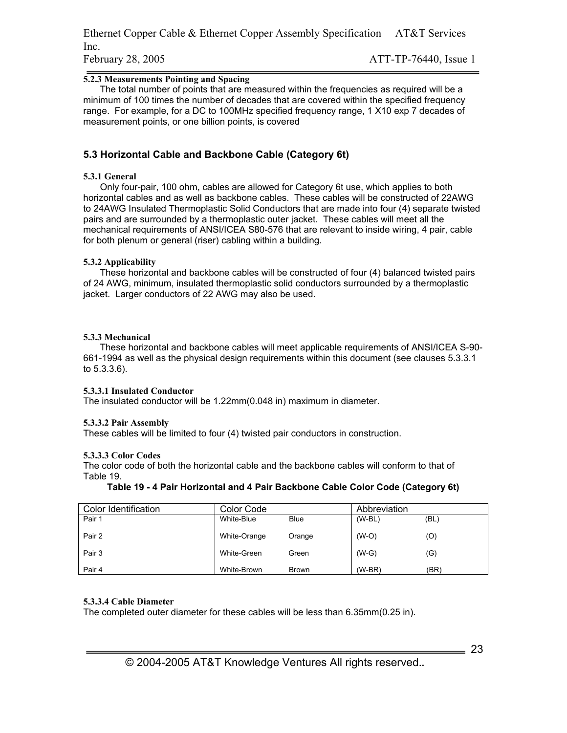Ethernet Copper Cable & Ethernet Copper Assembly Specification AT&T Services Inc. February 28, 2005 **ATT-TP-76440**, Issue 1

#### **5.2.3 Measurements Pointing and Spacing**

The total number of points that are measured within the frequencies as required will be a minimum of 100 times the number of decades that are covered within the specified frequency range. For example, for a DC to 100MHz specified frequency range, 1 X10 exp 7 decades of measurement points, or one billion points, is covered

### **5.3 Horizontal Cable and Backbone Cable (Category 6t)**

#### **5.3.1 General**

Only four-pair, 100 ohm, cables are allowed for Category 6t use, which applies to both horizontal cables and as well as backbone cables. These cables will be constructed of 22AWG to 24AWG Insulated Thermoplastic Solid Conductors that are made into four (4) separate twisted pairs and are surrounded by a thermoplastic outer jacket. These cables will meet all the mechanical requirements of ANSI/ICEA S80-576 that are relevant to inside wiring, 4 pair, cable for both plenum or general (riser) cabling within a building.

#### **5.3.2 Applicability**

These horizontal and backbone cables will be constructed of four (4) balanced twisted pairs of 24 AWG, minimum, insulated thermoplastic solid conductors surrounded by a thermoplastic jacket. Larger conductors of 22 AWG may also be used.

#### **5.3.3 Mechanical**

These horizontal and backbone cables will meet applicable requirements of ANSI/ICEA S-90- 661-1994 as well as the physical design requirements within this document (see clauses 5.3.3.1 to 5.3.3.6).

#### **5.3.3.1 Insulated Conductor**

The insulated conductor will be 1.22mm(0.048 in) maximum in diameter.

#### **5.3.3.2 Pair Assembly**

These cables will be limited to four (4) twisted pair conductors in construction.

#### **5.3.3.3 Color Codes**

The color code of both the horizontal cable and the backbone cables will conform to that of Table 19.

#### **Table 19 - 4 Pair Horizontal and 4 Pair Backbone Cable Color Code (Category 6t)**

| Color Identification | Color Code   |              | Abbreviation |      |
|----------------------|--------------|--------------|--------------|------|
| Pair 1               | White-Blue   | <b>Blue</b>  | $(W-BL)$     | (BL) |
| Pair 2               | White-Orange | Orange       | $(W-O)$      | (O)  |
| Pair 3               | White-Green  | Green        | $(W-G)$      | (G)  |
| Pair 4               | White-Brown  | <b>Brown</b> | $(W-BR)$     | (BR) |

#### **5.3.3.4 Cable Diameter**

The completed outer diameter for these cables will be less than 6.35mm(0.25 in).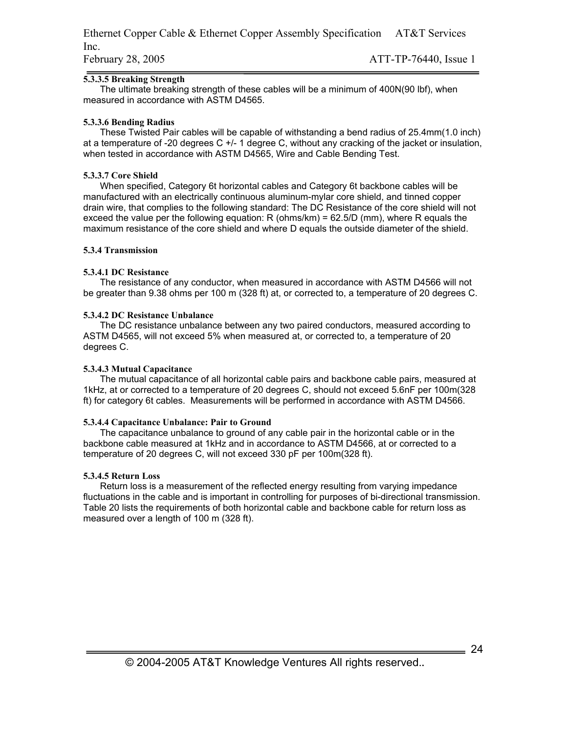#### **5.3.3.5 Breaking Strength**

The ultimate breaking strength of these cables will be a minimum of 400N(90 lbf), when measured in accordance with ASTM D4565.

#### **5.3.3.6 Bending Radius**

These Twisted Pair cables will be capable of withstanding a bend radius of 25.4mm(1.0 inch) at a temperature of -20 degrees C +/- 1 degree C, without any cracking of the jacket or insulation, when tested in accordance with ASTM D4565, Wire and Cable Bending Test.

#### **5.3.3.7 Core Shield**

When specified, Category 6t horizontal cables and Category 6t backbone cables will be manufactured with an electrically continuous aluminum-mylar core shield, and tinned copper drain wire, that complies to the following standard: The DC Resistance of the core shield will not exceed the value per the following equation: R (ohms/km) =  $62.5/D$  (mm), where R equals the maximum resistance of the core shield and where D equals the outside diameter of the shield.

#### **5.3.4 Transmission**

#### **5.3.4.1 DC Resistance**

The resistance of any conductor, when measured in accordance with ASTM D4566 will not be greater than 9.38 ohms per 100 m (328 ft) at, or corrected to, a temperature of 20 degrees C.

#### **5.3.4.2 DC Resistance Unbalance**

The DC resistance unbalance between any two paired conductors, measured according to ASTM D4565, will not exceed 5% when measured at, or corrected to, a temperature of 20 degrees C.

#### **5.3.4.3 Mutual Capacitance**

The mutual capacitance of all horizontal cable pairs and backbone cable pairs, measured at 1kHz, at or corrected to a temperature of 20 degrees C, should not exceed 5.6nF per 100m(328 ft) for category 6t cables. Measurements will be performed in accordance with ASTM D4566.

#### **5.3.4.4 Capacitance Unbalance: Pair to Ground**

The capacitance unbalance to ground of any cable pair in the horizontal cable or in the backbone cable measured at 1kHz and in accordance to ASTM D4566, at or corrected to a temperature of 20 degrees C, will not exceed 330 pF per 100m(328 ft).

#### **5.3.4.5 Return Loss**

Return loss is a measurement of the reflected energy resulting from varying impedance fluctuations in the cable and is important in controlling for purposes of bi-directional transmission. Table 20 lists the requirements of both horizontal cable and backbone cable for return loss as measured over a length of 100 m (328 ft).

 $= 24$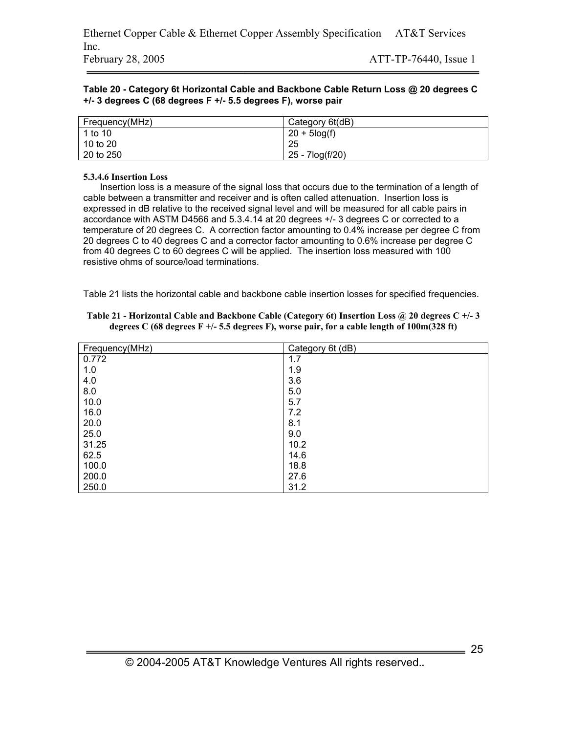#### **Table 20 - Category 6t Horizontal Cable and Backbone Cable Return Loss @ 20 degrees C +/- 3 degrees C (68 degrees F +/- 5.5 degrees F), worse pair**

| Frequency(MHz) | Category 6t(dB)  |
|----------------|------------------|
| 1 to 10        | $20 + 5 \log(f)$ |
| 10 to 20       | 25               |
| 20 to 250      | 25 - 7log(f/20)  |

#### **5.3.4.6 Insertion Loss**

Insertion loss is a measure of the signal loss that occurs due to the termination of a length of cable between a transmitter and receiver and is often called attenuation. Insertion loss is expressed in dB relative to the received signal level and will be measured for all cable pairs in accordance with ASTM D4566 and 5.3.4.14 at 20 degrees +/- 3 degrees C or corrected to a temperature of 20 degrees C. A correction factor amounting to 0.4% increase per degree C from 20 degrees C to 40 degrees C and a corrector factor amounting to 0.6% increase per degree C from 40 degrees C to 60 degrees C will be applied. The insertion loss measured with 100 resistive ohms of source/load terminations.

Table 21 lists the horizontal cable and backbone cable insertion losses for specified frequencies.

| Frequency(MHz) | Category 6t (dB) |
|----------------|------------------|
| 0.772          | 1.7              |
| 1.0            | 1.9              |
| 4.0            | 3.6              |
| 8.0            | 5.0              |
| 10.0           | 5.7              |
| 16.0           | 7.2              |
| 20.0           | 8.1              |
| 25.0           | 9.0              |
| 31.25          | 10.2             |
| 62.5           | 14.6             |
| 100.0          | 18.8             |
| 200.0          | 27.6             |
| 250.0          | 31.2             |

| Table 21 - Horizontal Cable and Backbone Cable (Category 6t) Insertion Loss @ 20 degrees C +/-3 |
|-------------------------------------------------------------------------------------------------|
| degrees C (68 degrees F +/- 5.5 degrees F), worse pair, for a cable length of $100m(328 ft)$    |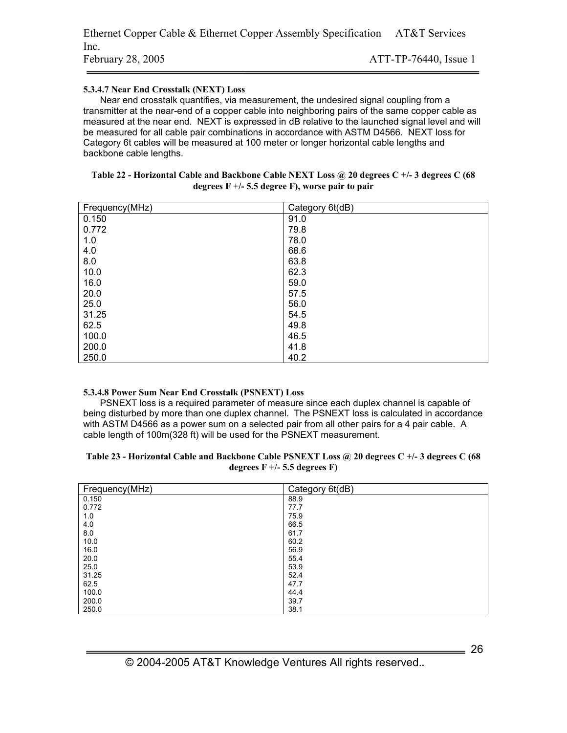#### **5.3.4.7 Near End Crosstalk (NEXT) Loss**

Near end crosstalk quantifies, via measurement, the undesired signal coupling from a transmitter at the near-end of a copper cable into neighboring pairs of the same copper cable as measured at the near end. NEXT is expressed in dB relative to the launched signal level and will be measured for all cable pair combinations in accordance with ASTM D4566. NEXT loss for Category 6t cables will be measured at 100 meter or longer horizontal cable lengths and backbone cable lengths.

| Table 22 - Horizontal Cable and Backbone Cable NEXT Loss @ 20 degrees C +/- 3 degrees C (68 |
|---------------------------------------------------------------------------------------------|
| degrees $F +/- 5.5$ degree F), worse pair to pair                                           |

| Frequency(MHz) | Category 6t(dB) |
|----------------|-----------------|
| 0.150          | 91.0            |
| 0.772          | 79.8            |
| 1.0            | 78.0            |
| 4.0            | 68.6            |
| 8.0            | 63.8            |
| 10.0           | 62.3            |
| 16.0           | 59.0            |
| 20.0           | 57.5            |
| 25.0           | 56.0            |
| 31.25          | 54.5            |
| 62.5           | 49.8            |
| 100.0          | 46.5            |
| 200.0          | 41.8            |
| 250.0          | 40.2            |

#### **5.3.4.8 Power Sum Near End Crosstalk (PSNEXT) Loss**

PSNEXT loss is a required parameter of measure since each duplex channel is capable of being disturbed by more than one duplex channel. The PSNEXT loss is calculated in accordance with ASTM D4566 as a power sum on a selected pair from all other pairs for a 4 pair cable. A cable length of 100m(328 ft) will be used for the PSNEXT measurement.

#### **Table 23 - Horizontal Cable and Backbone Cable PSNEXT Loss @ 20 degrees C +/- 3 degrees C (68 degrees F +/- 5.5 degrees F)**

| Frequency(MHz) | Category 6t(dB) |
|----------------|-----------------|
| 0.150          | 88.9            |
| 0.772          | 77.7            |
| 1.0            | 75.9            |
| 4.0            | 66.5            |
| 8.0            | 61.7            |
| 10.0           | 60.2            |
| 16.0           | 56.9            |
| 20.0           | 55.4            |
| 25.0           | 53.9            |
| 31.25          | 52.4            |
| 62.5           | 47.7            |
| 100.0          | 44.4            |
| 200.0          | 39.7            |
| 250.0          | 38.1            |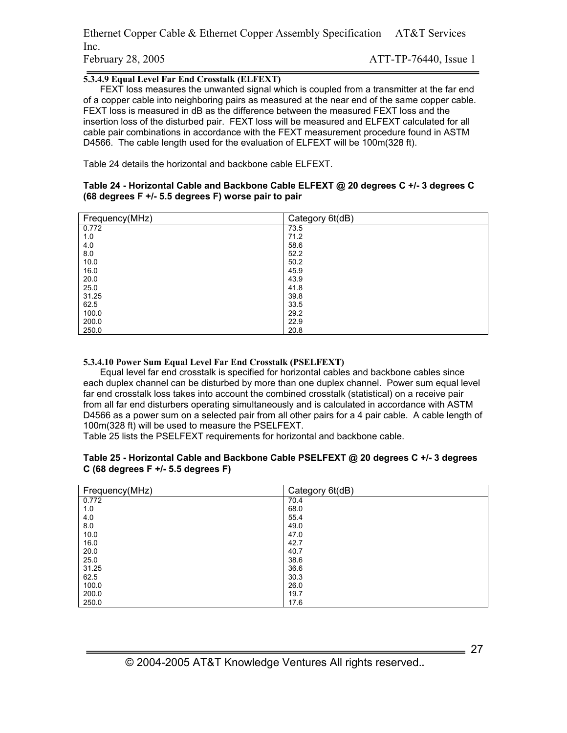Ethernet Copper Cable & Ethernet Copper Assembly Specification AT&T Services Inc. February 28, 2005 **ATT-TP-76440**, Issue 1

#### **5.3.4.9 Equal Level Far End Crosstalk (ELFEXT)**

FEXT loss measures the unwanted signal which is coupled from a transmitter at the far end of a copper cable into neighboring pairs as measured at the near end of the same copper cable. FEXT loss is measured in dB as the difference between the measured FEXT loss and the insertion loss of the disturbed pair. FEXT loss will be measured and ELFEXT calculated for all cable pair combinations in accordance with the FEXT measurement procedure found in ASTM D4566. The cable length used for the evaluation of ELFEXT will be 100m(328 ft).

Table 24 details the horizontal and backbone cable ELFEXT.

#### **Table 24 - Horizontal Cable and Backbone Cable ELFEXT @ 20 degrees C +/- 3 degrees C (68 degrees F +/- 5.5 degrees F) worse pair to pair**

| Frequency(MHz) | Category 6t(dB) |
|----------------|-----------------|
| 0.772          | 73.5            |
| 1.0            | 71.2            |
| 4.0            | 58.6            |
| 8.0            | 52.2            |
| 10.0           | 50.2            |
| 16.0           | 45.9            |
| 20.0           | 43.9            |
| 25.0           | 41.8            |
| 31.25          | 39.8            |
| 62.5           | 33.5            |
| 100.0          | 29.2            |
| 200.0          | 22.9            |
| 250.0          | 20.8            |

#### **5.3.4.10 Power Sum Equal Level Far End Crosstalk (PSELFEXT)**

Equal level far end crosstalk is specified for horizontal cables and backbone cables since each duplex channel can be disturbed by more than one duplex channel. Power sum equal level far end crosstalk loss takes into account the combined crosstalk (statistical) on a receive pair from all far end disturbers operating simultaneously and is calculated in accordance with ASTM D4566 as a power sum on a selected pair from all other pairs for a 4 pair cable. A cable length of 100m(328 ft) will be used to measure the PSELFEXT.

Table 25 lists the PSELFEXT requirements for horizontal and backbone cable.

#### **Table 25 - Horizontal Cable and Backbone Cable PSELFEXT @ 20 degrees C +/- 3 degrees C (68 degrees F +/- 5.5 degrees F)**

| Frequency(MHz) | Category 6t(dB) |
|----------------|-----------------|
| 0.772          | 70.4            |
| 1.0            | 68.0            |
| 4.0            | 55.4            |
| 8.0            | 49.0            |
| 10.0           | 47.0            |
| 16.0           | 42.7            |
| 20.0           | 40.7            |
| 25.0           | 38.6            |
| 31.25          | 36.6            |
| 62.5           | 30.3            |
| 100.0          | 26.0            |
| 200.0          | 19.7            |
| 250.0          | 17.6            |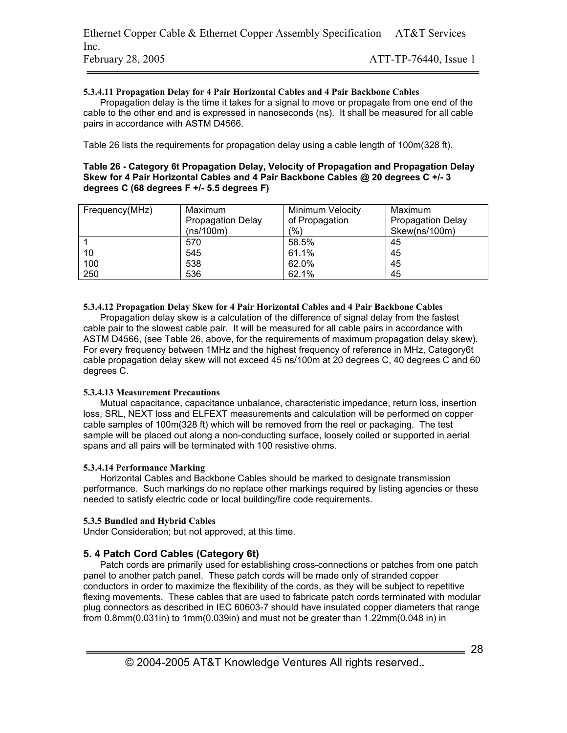#### **5.3.4.11 Propagation Delay for 4 Pair Horizontal Cables and 4 Pair Backbone Cables**

Propagation delay is the time it takes for a signal to move or propagate from one end of the cable to the other end and is expressed in nanoseconds (ns). It shall be measured for all cable pairs in accordance with ASTM D4566.

Table 26 lists the requirements for propagation delay using a cable length of 100m(328 ft).

#### **Table 26 - Category 6t Propagation Delay, Velocity of Propagation and Propagation Delay Skew for 4 Pair Horizontal Cables and 4 Pair Backbone Cables @ 20 degrees C +/- 3 degrees C (68 degrees F +/- 5.5 degrees F)**

| Frequency(MHz) | Maximum                  | <b>Minimum Velocity</b> | Maximum                  |
|----------------|--------------------------|-------------------------|--------------------------|
|                | <b>Propagation Delay</b> | of Propagation          | <b>Propagation Delay</b> |
|                | (ns/100m)                | $\frac{1}{2}$           | Skew(ns/100m)            |
|                | 570                      | 58.5%                   | 45                       |
| 10             | 545                      | 61.1%                   | 45                       |
| 100            | 538                      | 62.0%                   | 45                       |
| 250            | 536                      | 62.1%                   | 45                       |

#### **5.3.4.12 Propagation Delay Skew for 4 Pair Horizontal Cables and 4 Pair Backbone Cables**

Propagation delay skew is a calculation of the difference of signal delay from the fastest cable pair to the slowest cable pair. It will be measured for all cable pairs in accordance with ASTM D4566, (see Table 26, above, for the requirements of maximum propagation delay skew). For every frequency between 1MHz and the highest frequency of reference in MHz, Category6t cable propagation delay skew will not exceed 45 ns/100m at 20 degrees C, 40 degrees C and 60 degrees C.

#### **5.3.4.13 Measurement Precautions**

Mutual capacitance, capacitance unbalance, characteristic impedance, return loss, insertion loss, SRL, NEXT loss and ELFEXT measurements and calculation will be performed on copper cable samples of 100m(328 ft) which will be removed from the reel or packaging. The test sample will be placed out along a non-conducting surface, loosely coiled or supported in aerial spans and all pairs will be terminated with 100 resistive ohms.

#### **5.3.4.14 Performance Marking**

Horizontal Cables and Backbone Cables should be marked to designate transmission performance. Such markings do no replace other markings required by listing agencies or these needed to satisfy electric code or local building/fire code requirements.

#### **5.3.5 Bundled and Hybrid Cables**

Under Consideration; but not approved, at this time.

### **5. 4 Patch Cord Cables (Category 6t)**

Patch cords are primarily used for establishing cross-connections or patches from one patch panel to another patch panel. These patch cords will be made only of stranded copper conductors in order to maximize the flexibility of the cords, as they will be subject to repetitive flexing movements. These cables that are used to fabricate patch cords terminated with modular plug connectors as described in IEC 60603-7 should have insulated copper diameters that range from 0.8mm(0.031in) to 1mm(0.039in) and must not be greater than 1.22mm(0.048 in) in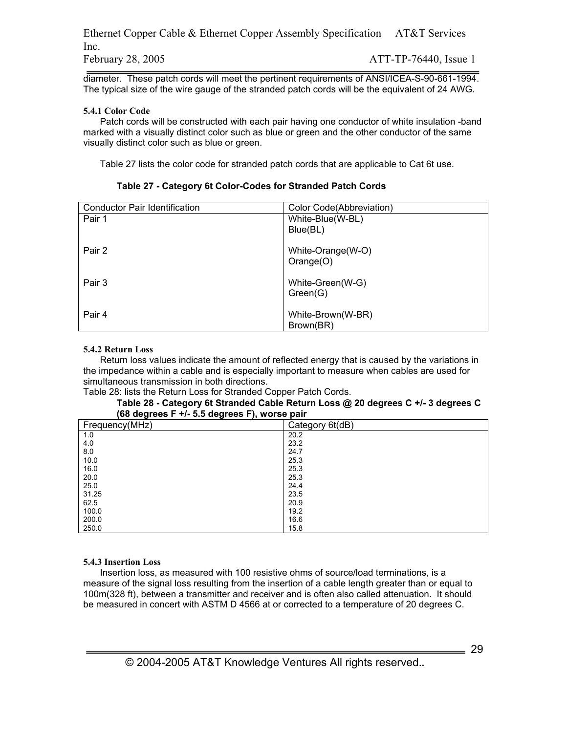Ethernet Copper Cable & Ethernet Copper Assembly Specification AT&T Services Inc. February 28, 2005 **ATT-TP-76440**, Issue 1

diameter. These patch cords will meet the pertinent requirements of ANSI/ICEA-S-90-661-1994. The typical size of the wire gauge of the stranded patch cords will be the equivalent of 24 AWG.

#### **5.4.1 Color Code**

Patch cords will be constructed with each pair having one conductor of white insulation -band marked with a visually distinct color such as blue or green and the other conductor of the same visually distinct color such as blue or green.

Table 27 lists the color code for stranded patch cords that are applicable to Cat 6t use.

| Conductor Pair Identification | Color Code(Abbreviation) |
|-------------------------------|--------------------------|
| Pair 1                        | White-Blue(W-BL)         |
|                               | Blue(BL)                 |
|                               |                          |
| Pair 2                        | White-Orange(W-O)        |
|                               | Orange(O)                |
|                               |                          |
| Pair 3                        | White-Green(W-G)         |
|                               | Green(G)                 |
|                               |                          |
| Pair 4                        | White-Brown(W-BR)        |
|                               | Brown(BR)                |

#### **Table 27 - Category 6t Color-Codes for Stranded Patch Cords**

#### **5.4.2 Return Loss**

Return loss values indicate the amount of reflected energy that is caused by the variations in the impedance within a cable and is especially important to measure when cables are used for simultaneous transmission in both directions.

Table 28: lists the Return Loss for Stranded Copper Patch Cords.

#### **Table 28 - Category 6t Stranded Cable Return Loss @ 20 degrees C +/- 3 degrees C (68 degrees F +/- 5.5 degrees F), worse pair**

| . <u>.</u><br>. <b>.</b><br>$\cdots$<br>Frequency(MHz) | . .<br>Category 6t(dB) |
|--------------------------------------------------------|------------------------|
| 1.0                                                    | 20.2                   |
| 4.0                                                    | 23.2                   |
| 8.0                                                    | 24.7                   |
| 10.0                                                   | 25.3                   |
| 16.0                                                   | 25.3                   |
| 20.0                                                   | 25.3                   |
| 25.0                                                   | 24.4                   |
| 31.25                                                  | 23.5                   |
| 62.5                                                   | 20.9                   |
| 100.0                                                  | 19.2                   |
| 200.0                                                  | 16.6                   |
| 250.0                                                  | 15.8                   |

#### **5.4.3 Insertion Loss**

Insertion loss, as measured with 100 resistive ohms of source/load terminations, is a measure of the signal loss resulting from the insertion of a cable length greater than or equal to 100m(328 ft), between a transmitter and receiver and is often also called attenuation. It should be measured in concert with ASTM D 4566 at or corrected to a temperature of 20 degrees C.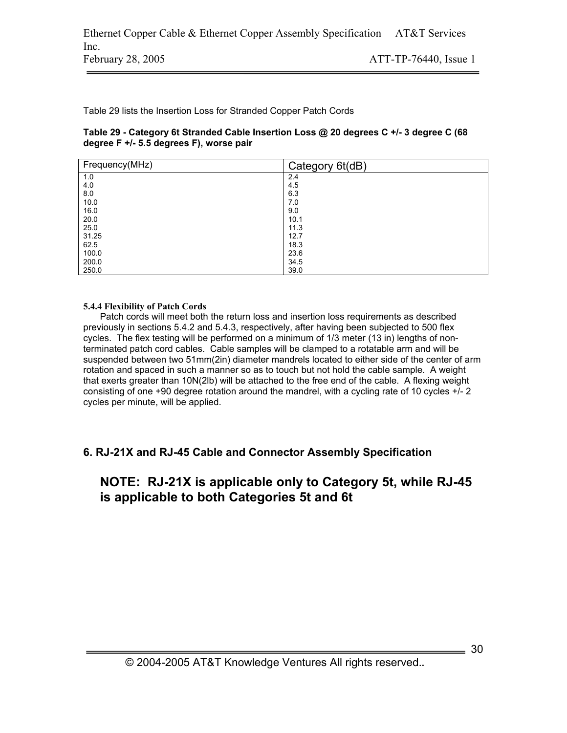Table 29 lists the Insertion Loss for Stranded Copper Patch Cords

#### **Table 29 - Category 6t Stranded Cable Insertion Loss @ 20 degrees C +/- 3 degree C (68 degree F +/- 5.5 degrees F), worse pair**

| Frequency(MHz) | Category 6t(dB) |
|----------------|-----------------|
| 1.0            | 2.4             |
| 4.0            | 4.5             |
| 8.0            | 6.3             |
| 10.0           | 7.0             |
| 16.0           | 9.0             |
| 20.0           | 10.1            |
| 25.0           | 11.3            |
| 31.25          | 12.7            |
| 62.5           | 18.3            |
| 100.0          | 23.6            |
| 200.0          | 34.5            |
| 250.0          | 39.0            |

#### **5.4.4 Flexibility of Patch Cords**

Patch cords will meet both the return loss and insertion loss requirements as described previously in sections 5.4.2 and 5.4.3, respectively, after having been subjected to 500 flex cycles. The flex testing will be performed on a minimum of 1/3 meter (13 in) lengths of nonterminated patch cord cables. Cable samples will be clamped to a rotatable arm and will be suspended between two 51mm(2in) diameter mandrels located to either side of the center of arm rotation and spaced in such a manner so as to touch but not hold the cable sample. A weight that exerts greater than 10N(2lb) will be attached to the free end of the cable. A flexing weight consisting of one +90 degree rotation around the mandrel, with a cycling rate of 10 cycles +/- 2 cycles per minute, will be applied.

# **6. RJ-21X and RJ-45 Cable and Connector Assembly Specification**

# **NOTE: RJ-21X is applicable only to Category 5t, while RJ-45 is applicable to both Categories 5t and 6t**

 $\frac{1}{\sqrt{1-\frac{1}{2}}}\frac{30}{20}$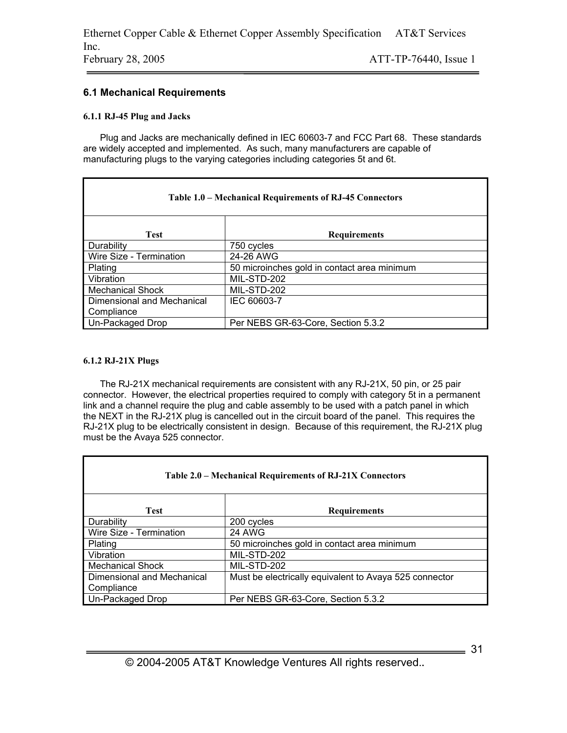### **6.1 Mechanical Requirements**

#### **6.1.1 RJ-45 Plug and Jacks**

Plug and Jacks are mechanically defined in IEC 60603-7 and FCC Part 68. These standards are widely accepted and implemented. As such, many manufacturers are capable of manufacturing plugs to the varying categories including categories 5t and 6t.

| Table 1.0 – Mechanical Requirements of RJ-45 Connectors |                                             |  |  |
|---------------------------------------------------------|---------------------------------------------|--|--|
| <b>Test</b>                                             | <b>Requirements</b>                         |  |  |
| Durability                                              | 750 cycles                                  |  |  |
| Wire Size - Termination                                 | 24-26 AWG                                   |  |  |
| Plating                                                 | 50 microinches gold in contact area minimum |  |  |
| Vibration                                               | MIL-STD-202                                 |  |  |
| <b>Mechanical Shock</b>                                 | MIL-STD-202                                 |  |  |
| Dimensional and Mechanical                              | IEC 60603-7                                 |  |  |
| Compliance                                              |                                             |  |  |
| Un-Packaged Drop                                        | Per NEBS GR-63-Core, Section 5.3.2          |  |  |

#### **6.1.2 RJ-21X Plugs**

The RJ-21X mechanical requirements are consistent with any RJ-21X, 50 pin, or 25 pair connector. However, the electrical properties required to comply with category 5t in a permanent link and a channel require the plug and cable assembly to be used with a patch panel in which the NEXT in the RJ-21X plug is cancelled out in the circuit board of the panel. This requires the RJ-21X plug to be electrically consistent in design. Because of this requirement, the RJ-21X plug must be the Avaya 525 connector.

| Table 2.0 – Mechanical Requirements of RJ-21X Connectors |                                                        |  |  |
|----------------------------------------------------------|--------------------------------------------------------|--|--|
| <b>Test</b>                                              | <b>Requirements</b>                                    |  |  |
| Durability                                               | 200 cycles                                             |  |  |
| Wire Size - Termination                                  | <b>24 AWG</b>                                          |  |  |
| Plating                                                  | 50 microinches gold in contact area minimum            |  |  |
| Vibration                                                | MIL-STD-202                                            |  |  |
| <b>Mechanical Shock</b>                                  | MIL-STD-202                                            |  |  |
| Dimensional and Mechanical                               | Must be electrically equivalent to Avaya 525 connector |  |  |
| Compliance                                               |                                                        |  |  |
| Un-Packaged Drop                                         | Per NEBS GR-63-Core, Section 5.3.2                     |  |  |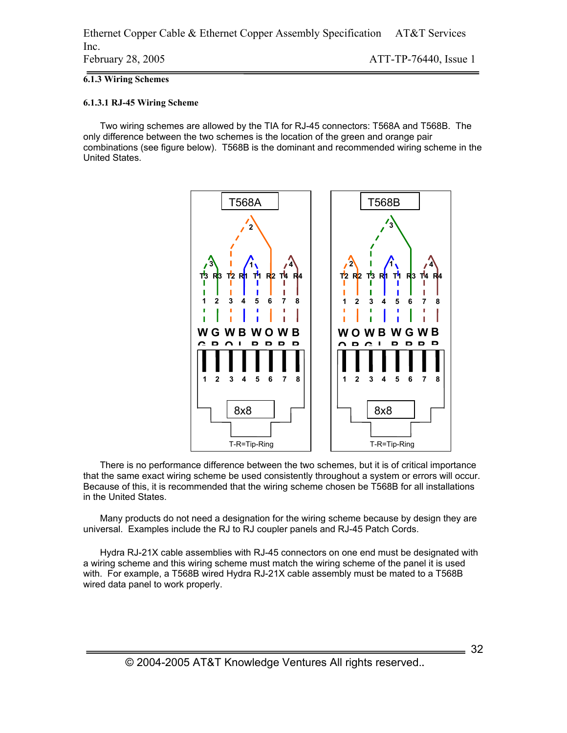#### **6.1.3 Wiring Schemes**

#### **6.1.3.1 RJ-45 Wiring Scheme**

Two wiring schemes are allowed by the TIA for RJ-45 connectors: T568A and T568B. The only difference between the two schemes is the location of the green and orange pair combinations (see figure below). T568B is the dominant and recommended wiring scheme in the United States.



There is no performance difference between the two schemes, but it is of critical importance that the same exact wiring scheme be used consistently throughout a system or errors will occur. Because of this, it is recommended that the wiring scheme chosen be T568B for all installations in the United States.

Many products do not need a designation for the wiring scheme because by design they are universal. Examples include the RJ to RJ coupler panels and RJ-45 Patch Cords.

Hydra RJ-21X cable assemblies with RJ-45 connectors on one end must be designated with a wiring scheme and this wiring scheme must match the wiring scheme of the panel it is used with. For example, a T568B wired Hydra RJ-21X cable assembly must be mated to a T568B wired data panel to work properly.

 $=$  32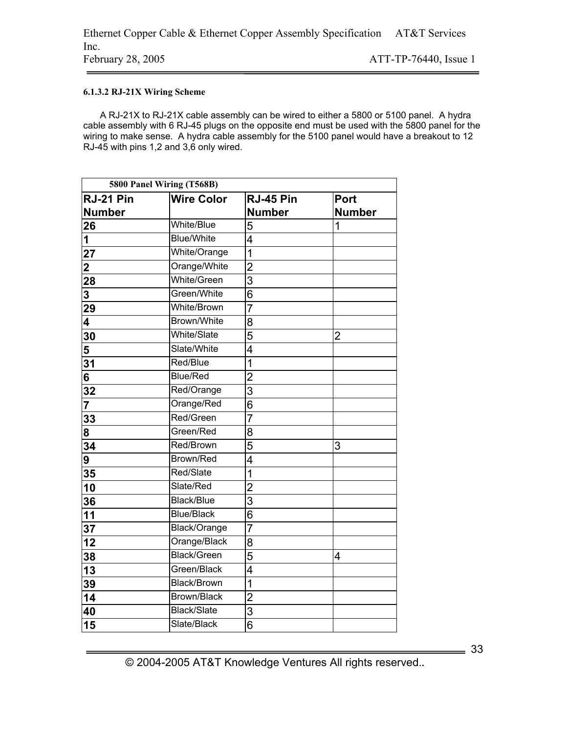#### **6.1.3.2 RJ-21X Wiring Scheme**

A RJ-21X to RJ-21X cable assembly can be wired to either a 5800 or 5100 panel. A hydra cable assembly with 6 RJ-45 plugs on the opposite end must be used with the 5800 panel for the wiring to make sense. A hydra cable assembly for the 5100 panel would have a breakout to 12 RJ-45 with pins 1,2 and 3,6 only wired.

| 5800 Panel Wiring (T568B) |                    |                |                |
|---------------------------|--------------------|----------------|----------------|
| RJ-21 Pin                 | <b>Wire Color</b>  | RJ-45 Pin      | Port           |
| <b>Number</b>             |                    | <b>Number</b>  | <b>Number</b>  |
| 26                        | White/Blue         | 5              | 1              |
| 1                         | <b>Blue/White</b>  | $\overline{4}$ |                |
| 27                        | White/Orange       | $\overline{1}$ |                |
| $\overline{\mathbf{2}}$   | Orange/White       | $\overline{c}$ |                |
| 28                        | <b>White/Green</b> | $\overline{3}$ |                |
| 3                         | Green/White        | 6              |                |
| 29                        | White/Brown        | $\overline{7}$ |                |
| 4                         | Brown/White        | 8              |                |
| 30                        | White/Slate        | $\overline{5}$ | $\overline{2}$ |
| 5                         | Slate/White        | 4              |                |
| 31                        | Red/Blue           | $\overline{1}$ |                |
| 6                         | Blue/Red           | $\overline{2}$ |                |
| 32                        | Red/Orange         | 3              |                |
| $\overline{7}$            | Orange/Red         | $\overline{6}$ |                |
| 33                        | Red/Green          | $\overline{7}$ |                |
| 8                         | Green/Red          | 8              |                |
| 34                        | Red/Brown          | 5              | 3              |
| 9                         | Brown/Red          | $\overline{4}$ |                |
| 35                        | Red/Slate          | $\overline{1}$ |                |
| 10                        | Slate/Red          | $\overline{c}$ |                |
| 36                        | <b>Black/Blue</b>  | $\overline{3}$ |                |
| 11                        | <b>Blue/Black</b>  | $\overline{6}$ |                |
| 37                        | Black/Orange       | $\overline{7}$ |                |
| $\overline{12}$           | Orange/Black       | 8              |                |
| 38                        | <b>Black/Green</b> | $\overline{5}$ | 4              |
| 13                        | Green/Black        | 4              |                |
| 39                        | <b>Black/Brown</b> | $\overline{1}$ |                |
| 14                        | <b>Brown/Black</b> | $\overline{c}$ |                |
| 40                        | Black/Slate        | $\overline{3}$ |                |
| 15                        | Slate/Black        | $\overline{6}$ |                |

© 2004-2005 AT&T Knowledge Ventures All rights reserved.**.**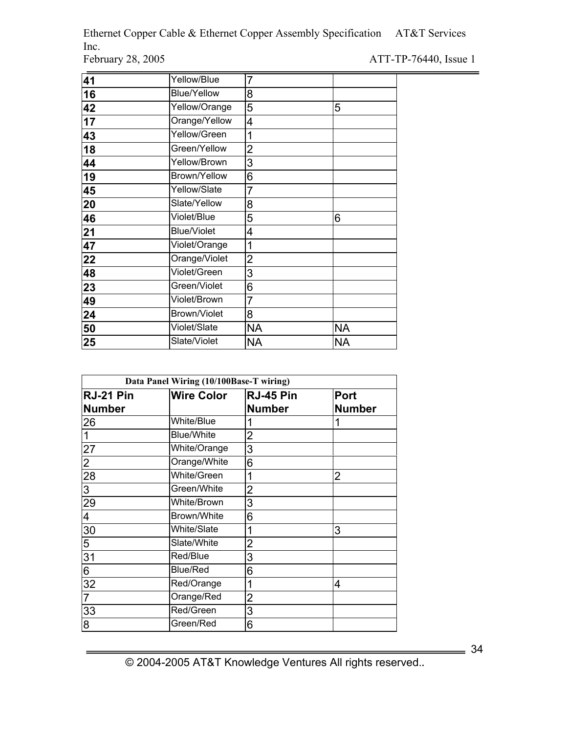Ethernet Copper Cable & Ethernet Copper Assembly Specification AT&T Services Inc.<br>February 28, 2005

ATT-TP-76440, Issue 1

| 41 | Yellow/Blue        | 7              |    |
|----|--------------------|----------------|----|
| 16 | Blue/Yellow        | 8              |    |
| 42 | Yellow/Orange      | 5              | 5  |
| 17 | Orange/Yellow      | 4              |    |
| 43 | Yellow/Green       | 1              |    |
| 18 | Green/Yellow       | $\overline{2}$ |    |
| 44 | Yellow/Brown       | 3              |    |
| 19 | Brown/Yellow       | 6              |    |
| 45 | Yellow/Slate       | 7              |    |
| 20 | Slate/Yellow       | 8              |    |
| 46 | Violet/Blue        | 5              | 6  |
| 21 | <b>Blue/Violet</b> | 4              |    |
| 47 | Violet/Orange      | 1              |    |
| 22 | Orange/Violet      | 2              |    |
| 48 | Violet/Green       | 3              |    |
| 23 | Green/Violet       | 6              |    |
| 49 | Violet/Brown       | $\overline{7}$ |    |
| 24 | Brown/Violet       | 8              |    |
| 50 | Violet/Slate       | <b>NA</b>      | NA |
| 25 | Slate/Violet       | NA             | ΝA |

| Data Panel Wiring (10/100Base-T wiring) |                   |                |               |
|-----------------------------------------|-------------------|----------------|---------------|
| RJ-21 Pin                               | <b>Wire Color</b> | RJ-45 Pin      | Port          |
| <b>Number</b>                           |                   | <b>Number</b>  | <b>Number</b> |
| 26                                      | White/Blue        |                | 1             |
|                                         | <b>Blue/White</b> | $\overline{2}$ |               |
| 27                                      | White/Orange      | 3              |               |
| 2                                       | Orange/White      | 6              |               |
| 28                                      | White/Green       | 1              | 2             |
| 3                                       | Green/White       | $\overline{2}$ |               |
| 29                                      | White/Brown       | 3              |               |
| 4                                       | Brown/White       | 6              |               |
| 30                                      | White/Slate       | 1              | 3             |
| 5                                       | Slate/White       | $\overline{2}$ |               |
| 31                                      | Red/Blue          | 3              |               |
| 6                                       | Blue/Red          | 6              |               |
| 32                                      | Red/Orange        | 1              | 4             |
| $\overline{7}$                          | Orange/Red        | $\overline{2}$ |               |
| 33                                      | Red/Green         | 3              |               |
| 8                                       | Green/Red         | 6              |               |

© 2004-2005 AT&T Knowledge Ventures All rights reserved.**.** 

 $\frac{1}{\sqrt{34}}$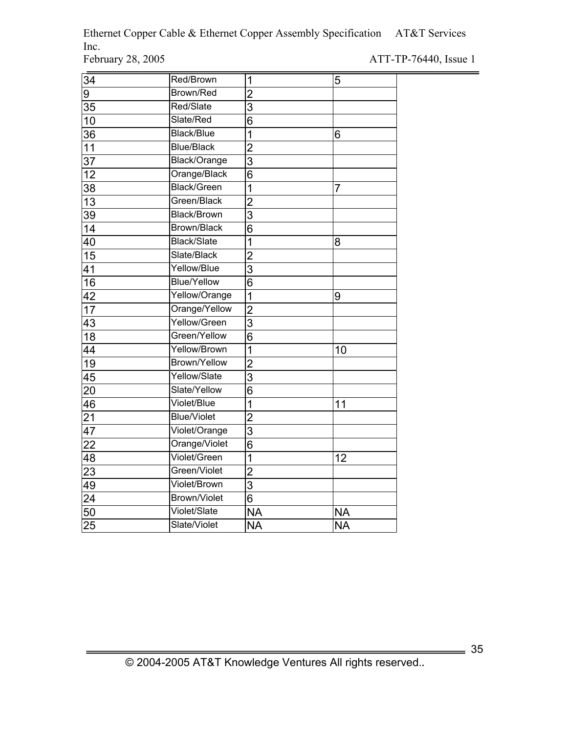Ethernet Copper Cable & Ethernet Copper Assembly Specification AT&T Services Inc.<br>February 28, 2005

ATT-TP-76440, Issue 1

| 34              | Red/Brown           | 1              | 5         |
|-----------------|---------------------|----------------|-----------|
| 9               | Brown/Red           | $\overline{2}$ |           |
| 35              | Red/Slate           | 3              |           |
| 10              | Slate/Red           | 6              |           |
| 36              | <b>Black/Blue</b>   | 1              | 6         |
| 11              | <b>Blue/Black</b>   | $\overline{2}$ |           |
| 37              | Black/Orange        | 3              |           |
| 12              | Orange/Black        | 6              |           |
| 38              | <b>Black/Green</b>  | 1              | 7         |
| 13              | Green/Black         | $\overline{2}$ |           |
| 39              | <b>Black/Brown</b>  | $\overline{3}$ |           |
| 14              | <b>Brown/Black</b>  | 6              |           |
| 40              | <b>Black/Slate</b>  | 1              | 8         |
| $\overline{15}$ | Slate/Black         | $\overline{2}$ |           |
| 41              | Yellow/Blue         | 3              |           |
| $\overline{16}$ | <b>Blue/Yellow</b>  | $\overline{6}$ |           |
| 42              | Yellow/Orange       | $\overline{1}$ | 9         |
| 17              | Orange/Yellow       | $\overline{2}$ |           |
| 43              | Yellow/Green        | 3              |           |
| 18              | Green/Yellow        | 6              |           |
| 44              | Yellow/Brown        | $\overline{1}$ | 10        |
| 19              | <b>Brown/Yellow</b> | $\overline{2}$ |           |
| $\overline{45}$ | Yellow/Slate        | 3              |           |
| 20              | Slate/Yellow        | 6              |           |
| 46              | Violet/Blue         | 1              | 11        |
| $\frac{21}{1}$  | <b>Blue/Violet</b>  | $\overline{c}$ |           |
| 47              | Violet/Orange       | 3              |           |
| 22              | Orange/Violet       | 6              |           |
| 48              | Violet/Green        | 1              | 12        |
| $\overline{23}$ | Green/Violet        | $\overline{c}$ |           |
| 49              | Violet/Brown        | $\overline{3}$ |           |
| 24              | <b>Brown/Violet</b> | 6              |           |
| 50              | Violet/Slate        | <b>NA</b>      | <b>NA</b> |
| 25              | Slate/Violet        | <b>NA</b>      | <b>NA</b> |

 $\frac{1}{\sqrt{1-\frac{1}{2}}}\frac{35}{25}$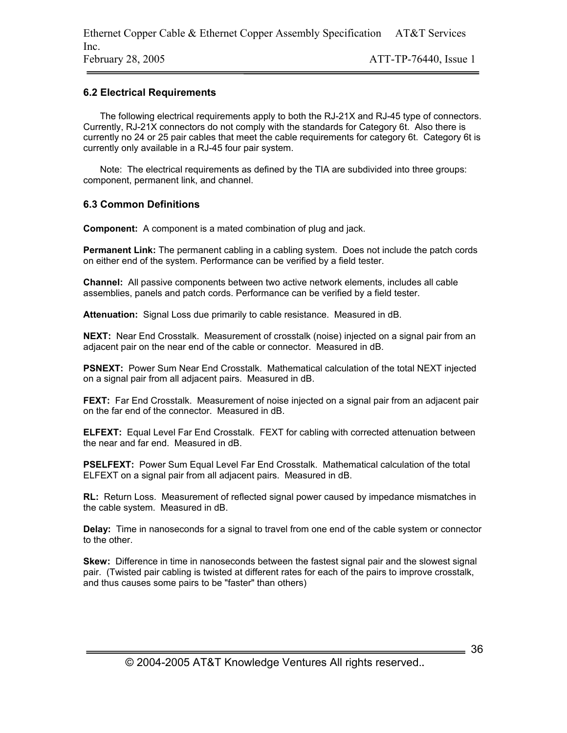#### **6.2 Electrical Requirements**

The following electrical requirements apply to both the RJ-21X and RJ-45 type of connectors. Currently, RJ-21X connectors do not comply with the standards for Category 6t. Also there is currently no 24 or 25 pair cables that meet the cable requirements for category 6t. Category 6t is currently only available in a RJ-45 four pair system.

Note: The electrical requirements as defined by the TIA are subdivided into three groups: component, permanent link, and channel.

#### **6.3 Common Definitions**

**Component:** A component is a mated combination of plug and jack.

**Permanent Link:** The permanent cabling in a cabling system. Does not include the patch cords on either end of the system. Performance can be verified by a field tester.

**Channel:** All passive components between two active network elements, includes all cable assemblies, panels and patch cords. Performance can be verified by a field tester.

**Attenuation:** Signal Loss due primarily to cable resistance. Measured in dB.

**NEXT:** Near End Crosstalk. Measurement of crosstalk (noise) injected on a signal pair from an adjacent pair on the near end of the cable or connector. Measured in dB.

**PSNEXT:** Power Sum Near End Crosstalk. Mathematical calculation of the total NEXT injected on a signal pair from all adjacent pairs. Measured in dB.

**FEXT:** Far End Crosstalk. Measurement of noise injected on a signal pair from an adjacent pair on the far end of the connector. Measured in dB.

**ELFEXT:** Equal Level Far End Crosstalk. FEXT for cabling with corrected attenuation between the near and far end. Measured in dB.

**PSELFEXT:** Power Sum Equal Level Far End Crosstalk. Mathematical calculation of the total ELFEXT on a signal pair from all adjacent pairs. Measured in dB.

**RL:** Return Loss. Measurement of reflected signal power caused by impedance mismatches in the cable system. Measured in dB.

**Delay:** Time in nanoseconds for a signal to travel from one end of the cable system or connector to the other.

**Skew:** Difference in time in nanoseconds between the fastest signal pair and the slowest signal pair. (Twisted pair cabling is twisted at different rates for each of the pairs to improve crosstalk, and thus causes some pairs to be "faster" than others)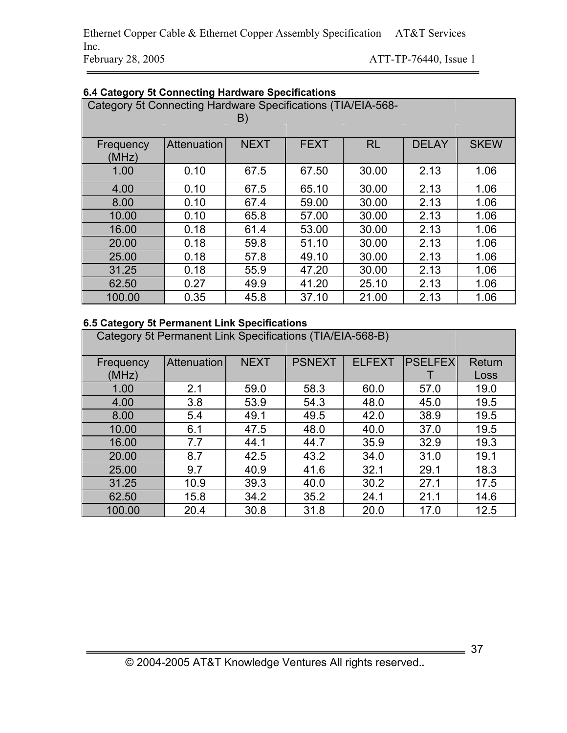| Category 5t Connecting Hardware Specifications (TIA/EIA-568-<br>B) |             |             |             |           |              |             |
|--------------------------------------------------------------------|-------------|-------------|-------------|-----------|--------------|-------------|
| Frequency<br>(MHz)                                                 | Attenuation | <b>NEXT</b> | <b>FEXT</b> | <b>RL</b> | <b>DELAY</b> | <b>SKEW</b> |
| 1.00                                                               | 0.10        | 67.5        | 67.50       | 30.00     | 2.13         | 1.06        |
| 4.00                                                               | 0.10        | 67.5        | 65.10       | 30.00     | 2.13         | 1.06        |
| 8.00                                                               | 0.10        | 67.4        | 59.00       | 30.00     | 2.13         | 1.06        |
| 10.00                                                              | 0.10        | 65.8        | 57.00       | 30.00     | 2.13         | 1.06        |
| 16.00                                                              | 0.18        | 61.4        | 53.00       | 30.00     | 2.13         | 1.06        |
| 20.00                                                              | 0.18        | 59.8        | 51.10       | 30.00     | 2.13         | 1.06        |
| 25.00                                                              | 0.18        | 57.8        | 49.10       | 30.00     | 2.13         | 1.06        |
| 31.25                                                              | 0.18        | 55.9        | 47.20       | 30.00     | 2.13         | 1.06        |
| 62.50                                                              | 0.27        | 49.9        | 41.20       | 25.10     | 2.13         | 1.06        |
| 100.00                                                             | 0.35        | 45.8        | 37.10       | 21.00     | 2.13         | 1.06        |

# **6.4 Category 5t Connecting Hardware Specifications**

# **6.5 Category 5t Permanent Link Specifications**

Category 5t Permanent Link Specifications (TIA/EIA-568-B)

| Frequency | Attenuation | <b>NEXT</b> | <b>PSNEXT</b> | <b>ELFEXT</b> | <b>PSELFEX</b> | Return |
|-----------|-------------|-------------|---------------|---------------|----------------|--------|
| (MHz)     |             |             |               |               |                | Loss   |
| 1.00      | 2.1         | 59.0        | 58.3          | 60.0          | 57.0           | 19.0   |
| 4.00      | 3.8         | 53.9        | 54.3          | 48.0          | 45.0           | 19.5   |
| 8.00      | 5.4         | 49.1        | 49.5          | 42.0          | 38.9           | 19.5   |
| 10.00     | 6.1         | 47.5        | 48.0          | 40.0          | 37.0           | 19.5   |
| 16.00     | 7.7         | 44.1        | 44.7          | 35.9          | 32.9           | 19.3   |
| 20.00     | 8.7         | 42.5        | 43.2          | 34.0          | 31.0           | 19.1   |
| 25.00     | 9.7         | 40.9        | 41.6          | 32.1          | 29.1           | 18.3   |
| 31.25     | 10.9        | 39.3        | 40.0          | 30.2          | 27.1           | 17.5   |
| 62.50     | 15.8        | 34.2        | 35.2          | 24.1          | 21.1           | 14.6   |
| 100.00    | 20.4        | 30.8        | 31.8          | 20.0          | 17.0           | 12.5   |

 $\frac{1}{2}$  37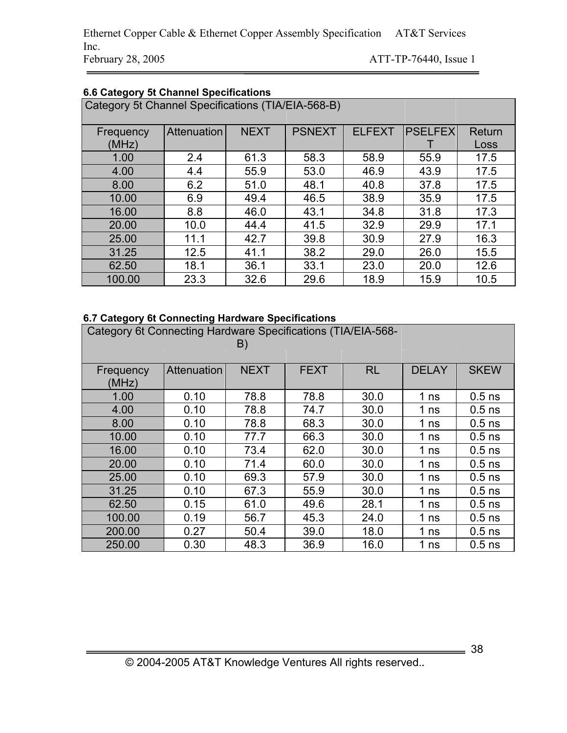Ethernet Copper Cable & Ethernet Copper Assembly Specification AT&T Services Inc. February 28, 2005 ATT-TP-76440, Issue 1

| Category 5t Channel Specifications (TIA/EIA-568-B) |             |             |               |               |           |        |
|----------------------------------------------------|-------------|-------------|---------------|---------------|-----------|--------|
| Frequency                                          | Attenuation | <b>NEXT</b> | <b>PSNEXT</b> | <b>ELFEXT</b> | IPSELFEXI | Return |
| (MHz)                                              |             |             |               |               |           | Loss   |
| 1.00                                               | 2.4         | 61.3        | 58.3          | 58.9          | 55.9      | 17.5   |
| 4.00                                               | 4.4         | 55.9        | 53.0          | 46.9          | 43.9      | 17.5   |
| 8.00                                               | 6.2         | 51.0        | 48.1          | 40.8          | 37.8      | 17.5   |
| 10.00                                              | 6.9         | 49.4        | 46.5          | 38.9          | 35.9      | 17.5   |
| 16.00                                              | 8.8         | 46.0        | 43.1          | 34.8          | 31.8      | 17.3   |
| 20.00                                              | 10.0        | 44.4        | 41.5          | 32.9          | 29.9      | 17.1   |
| 25.00                                              | 11.1        | 42.7        | 39.8          | 30.9          | 27.9      | 16.3   |
| 31.25                                              | 12.5        | 41.1        | 38.2          | 29.0          | 26.0      | 15.5   |
| 62.50                                              | 18.1        | 36.1        | 33.1          | 23.0          | 20.0      | 12.6   |
| 100.00                                             | 23.3        | 32.6        | 29.6          | 18.9          | 15.9      | 10.5   |

# **6.6 Category 5t Channel Specifications**

# **6.7 Category 6t Connecting Hardware Specifications**

| Category 6t Connecting Hardware Specifications (TIA/EIA-568-<br>B) |             |             |             |           |                 |             |
|--------------------------------------------------------------------|-------------|-------------|-------------|-----------|-----------------|-------------|
| Frequency                                                          | Attenuation | <b>NEXT</b> | <b>FEXT</b> | <b>RL</b> | <b>DELAY</b>    | <b>SKEW</b> |
| (MHz)                                                              |             |             |             |           |                 |             |
| 1.00                                                               | 0.10        | 78.8        | 78.8        | 30.0      | 1 <sub>ns</sub> | $0.5$ ns    |
| 4.00                                                               | 0.10        | 78.8        | 74.7        | 30.0      | 1 <sub>ns</sub> | $0.5$ ns    |
| 8.00                                                               | 0.10        | 78.8        | 68.3        | 30.0      | 1 <sub>ns</sub> | $0.5$ ns    |
| 10.00                                                              | 0.10        | 77.7        | 66.3        | 30.0      | 1 <sub>ns</sub> | $0.5$ ns    |
| 16.00                                                              | 0.10        | 73.4        | 62.0        | 30.0      | 1 <sub>ns</sub> | $0.5$ ns    |
| 20.00                                                              | 0.10        | 71.4        | 60.0        | 30.0      | 1 <sub>ns</sub> | $0.5$ ns    |
| 25.00                                                              | 0.10        | 69.3        | 57.9        | 30.0      | 1 <sub>ns</sub> | $0.5$ ns    |
| 31.25                                                              | 0.10        | 67.3        | 55.9        | 30.0      | 1 <sub>ns</sub> | $0.5$ ns    |
| 62.50                                                              | 0.15        | 61.0        | 49.6        | 28.1      | 1 <sub>ns</sub> | $0.5$ ns    |
| 100.00                                                             | 0.19        | 56.7        | 45.3        | 24.0      | 1 <sub>ns</sub> | $0.5$ ns    |
| 200.00                                                             | 0.27        | 50.4        | 39.0        | 18.0      | 1 <sub>ns</sub> | $0.5$ ns    |
| 250.00                                                             | 0.30        | 48.3        | 36.9        | 16.0      | 1 <sub>ns</sub> | $0.5$ ns    |

 $\frac{1}{\sqrt{2}}$  38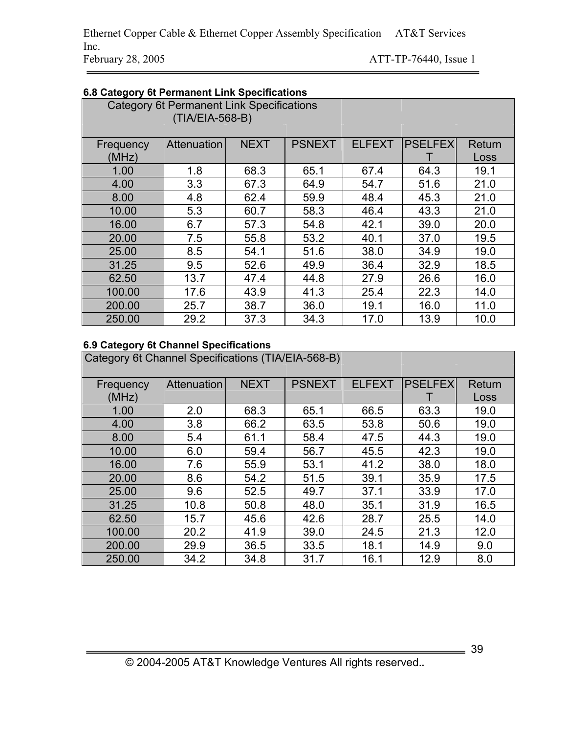| 6.8 Category 6t Permanent Link Specifications |                                                  |             |               |               |                 |        |  |
|-----------------------------------------------|--------------------------------------------------|-------------|---------------|---------------|-----------------|--------|--|
|                                               | <b>Category 6t Permanent Link Specifications</b> |             |               |               |                 |        |  |
|                                               | (TIA/EIA-568-B)                                  |             |               |               |                 |        |  |
|                                               |                                                  |             |               |               |                 |        |  |
| Frequency                                     | Attenuation                                      | <b>NEXT</b> | <b>PSNEXT</b> | <b>ELFEXT</b> | <b>PSELFEXI</b> | Return |  |
| (MHz)                                         |                                                  |             |               |               |                 | Loss   |  |
| 1.00                                          | 1.8                                              | 68.3        | 65.1          | 67.4          | 64.3            | 19.1   |  |
| 4.00                                          | 3.3                                              | 67.3        | 64.9          | 54.7          | 51.6            | 21.0   |  |
| 8.00                                          | 4.8                                              | 62.4        | 59.9          | 48.4          | 45.3            | 21.0   |  |
| 10.00                                         | 5.3                                              | 60.7        | 58.3          | 46.4          | 43.3            | 21.0   |  |
| 16.00                                         | 6.7                                              | 57.3        | 54.8          | 42.1          | 39.0            | 20.0   |  |
| 20.00                                         | 7.5                                              | 55.8        | 53.2          | 40.1          | 37.0            | 19.5   |  |
| 25.00                                         | 8.5                                              | 54.1        | 51.6          | 38.0          | 34.9            | 19.0   |  |
| 31.25                                         | 9.5                                              | 52.6        | 49.9          | 36.4          | 32.9            | 18.5   |  |
| 62.50                                         | 13.7                                             | 47.4        | 44.8          | 27.9          | 26.6            | 16.0   |  |
| 100.00                                        | 17.6                                             | 43.9        | 41.3          | 25.4          | 22.3            | 14.0   |  |
| 200.00                                        | 25.7                                             | 38.7        | 36.0          | 19.1          | 16.0            | 11.0   |  |
| 250.00                                        | 29.2                                             | 37.3        | 34.3          | 17.0          | 13.9            | 10.0   |  |

# **6.9 Category 6t Channel Specifications**

Category 6t Channel Specifications (TIA/EIA-568-B)

| Frequency | Attenuation | <b>NEXT</b> | <b>PSNEXT</b> | <b>ELFEXT</b> | <b>PSELFEX</b> | Return |
|-----------|-------------|-------------|---------------|---------------|----------------|--------|
| (MHz)     |             |             |               |               |                | Loss   |
| 1.00      | 2.0         | 68.3        | 65.1          | 66.5          | 63.3           | 19.0   |
| 4.00      | 3.8         | 66.2        | 63.5          | 53.8          | 50.6           | 19.0   |
| 8.00      | 5.4         | 61.1        | 58.4          | 47.5          | 44.3           | 19.0   |
| 10.00     | 6.0         | 59.4        | 56.7          | 45.5          | 42.3           | 19.0   |
| 16.00     | 7.6         | 55.9        | 53.1          | 41.2          | 38.0           | 18.0   |
| 20.00     | 8.6         | 54.2        | 51.5          | 39.1          | 35.9           | 17.5   |
| 25.00     | 9.6         | 52.5        | 49.7          | 37.1          | 33.9           | 17.0   |
| 31.25     | 10.8        | 50.8        | 48.0          | 35.1          | 31.9           | 16.5   |
| 62.50     | 15.7        | 45.6        | 42.6          | 28.7          | 25.5           | 14.0   |
| 100.00    | 20.2        | 41.9        | 39.0          | 24.5          | 21.3           | 12.0   |
| 200.00    | 29.9        | 36.5        | 33.5          | 18.1          | 14.9           | 9.0    |
| 250.00    | 34.2        | 34.8        | 31.7          | 16.1          | 12.9           | 8.0    |

 $\frac{1}{\sqrt{1-\frac{1}{2}}}\frac{39}{25}$